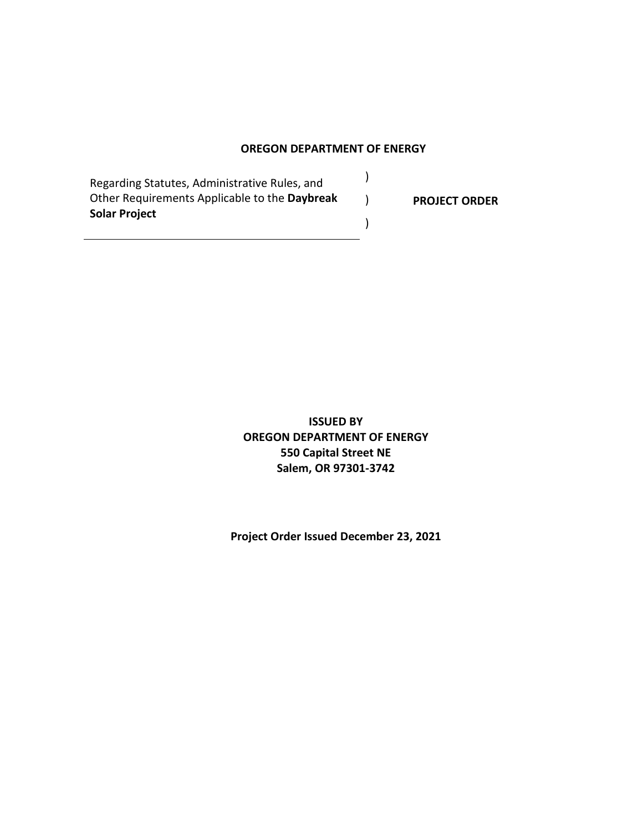#### **OREGON DEPARTMENT OF ENERGY**

)

)

)

Regarding Statutes, Administrative Rules, and Other Requirements Applicable to the **Daybreak Solar Project**

**PROJECT ORDER**

**ISSUED BY OREGON DEPARTMENT OF ENERGY 550 Capital Street NE Salem, OR 97301-3742**

**Project Order Issued December 23, 2021**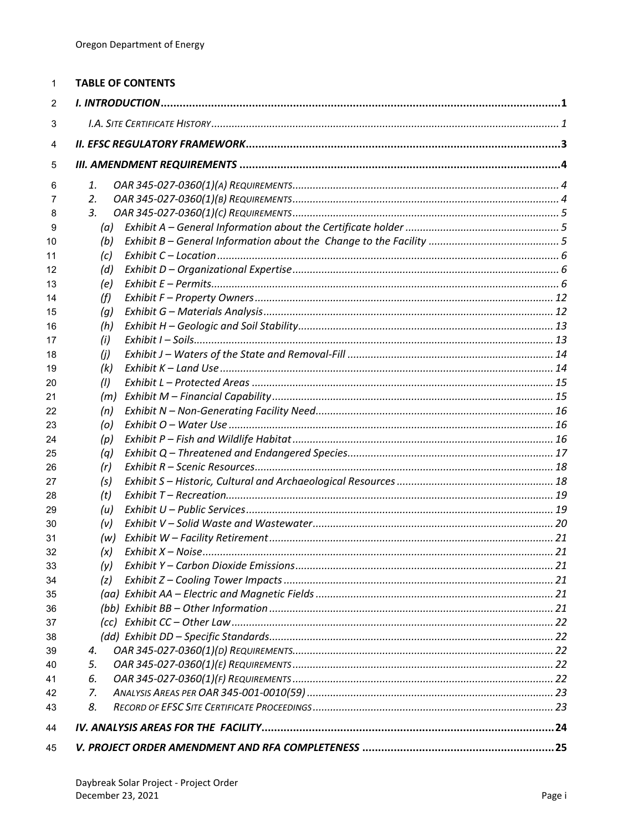| 1        | <b>TABLE OF CONTENTS</b> |  |
|----------|--------------------------|--|
| 2        |                          |  |
| 3        |                          |  |
| 4        |                          |  |
| 5        |                          |  |
| 6        | 1.                       |  |
| 7        | 2.                       |  |
| 8        | 3.                       |  |
| 9        | (a)                      |  |
| 10       | (b)                      |  |
| 11       | (c)                      |  |
| 12       | (d)                      |  |
| 13       | (e)                      |  |
| 14       | (f)                      |  |
| 15       | (g)                      |  |
| 16       | (h)                      |  |
| 17<br>18 | (i)<br>(i)               |  |
| 19       | (k)                      |  |
| 20       | (1)                      |  |
| 21       | (m)                      |  |
| 22       | (n)                      |  |
| 23       | (o)                      |  |
| 24       | (p)                      |  |
| 25       | (q)                      |  |
| 26       | (r)                      |  |
| 27       | (s)                      |  |
| 28       | (t)                      |  |
| 29       | (u)                      |  |
| 30       | (v)                      |  |
| 31       | (w)                      |  |
| 32       | (x)                      |  |
| 33       | (y)                      |  |
| 34       | (z)                      |  |
| 35       |                          |  |
| 36<br>37 |                          |  |
| 38       |                          |  |
| 39       | 4.                       |  |
| 40       | 5.                       |  |
| 41       | 6.                       |  |
| 42       | 7.                       |  |
| 43       | 8.                       |  |
| 44       |                          |  |
| 45       |                          |  |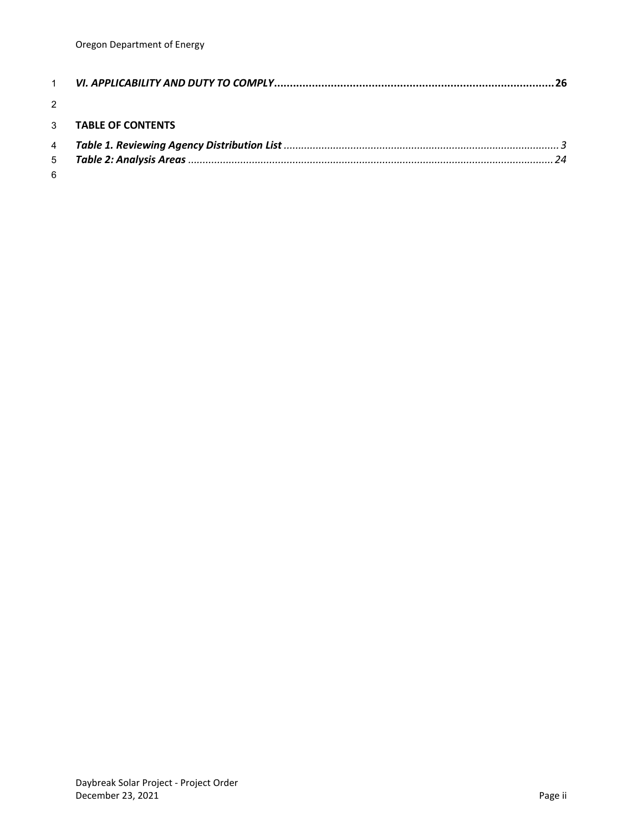| $\mathcal{P}$ |                     |  |
|---------------|---------------------|--|
|               | 3 TABLE OF CONTENTS |  |
|               |                     |  |
|               |                     |  |
| 6             |                     |  |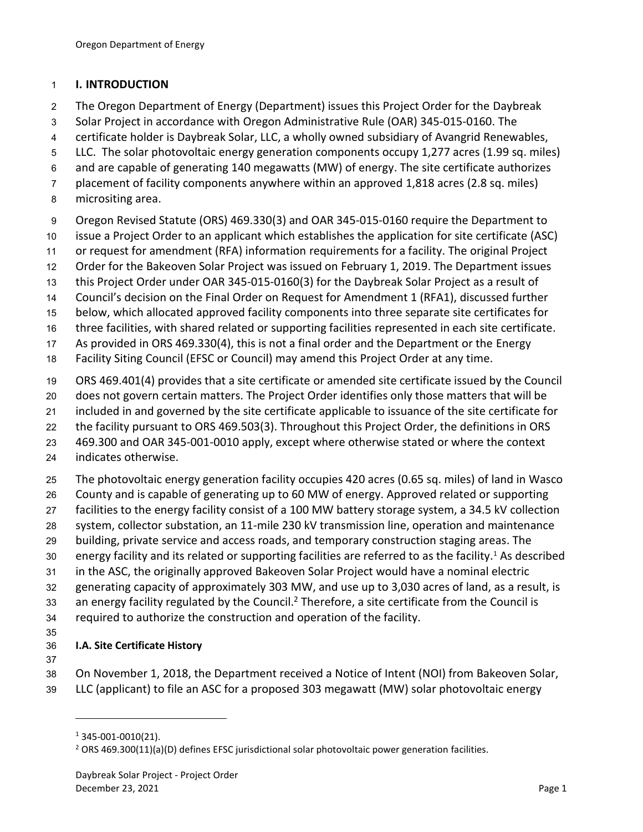#### <span id="page-3-0"></span>**I. INTRODUCTION**

- The Oregon Department of Energy (Department) issues this Project Order for the Daybreak
- Solar Project in accordance with Oregon Administrative Rule (OAR) 345-015-0160. The
- certificate holder is Daybreak Solar, LLC, a wholly owned subsidiary of Avangrid Renewables,
- LLC. The solar photovoltaic energy generation components occupy 1,277 acres (1.99 sq. miles)
- and are capable of generating 140 megawatts (MW) of energy. The site certificate authorizes
- placement of facility components anywhere within an approved 1,818 acres (2.8 sq. miles)
- micrositing area.
- Oregon Revised Statute (ORS) 469.330(3) and OAR 345-015-0160 require the Department to
- issue a Project Order to an applicant which establishes the application for site certificate (ASC)
- or request for amendment (RFA) information requirements for a facility. The original Project
- Order for the Bakeoven Solar Project was issued on February 1, 2019. The Department issues
- this Project Order under OAR 345-015-0160(3) for the Daybreak Solar Project as a result of
- Council's decision on the Final Order on Request for Amendment 1 (RFA1), discussed further
- below, which allocated approved facility components into three separate site certificates for
- three facilities, with shared related or supporting facilities represented in each site certificate.
- As provided in ORS 469.330(4), this is not a final order and the Department or the Energy
- Facility Siting Council (EFSC or Council) may amend this Project Order at any time.
- ORS 469.401(4) provides that a site certificate or amended site certificate issued by the Council
- does not govern certain matters. The Project Order identifies only those matters that will be
- included in and governed by the site certificate applicable to issuance of the site certificate for
- the facility pursuant to ORS 469.503(3). Throughout this Project Order, the definitions in ORS
- 469.300 and OAR 345-001-0010 apply, except where otherwise stated or where the context
- indicates otherwise.
- The photovoltaic energy generation facility occupies 420 acres (0.65 sq. miles) of land in Wasco
- County and is capable of generating up to 60 MW of energy. Approved related or supporting
- facilities to the energy facility consist of a 100 MW battery storage system, a 34.5 kV collection
- system, collector substation, an 11-mile 230 kV transmission line, operation and maintenance
- building, private service and access roads, and temporary construction staging areas. The
- 30 energy facility and its related or supporting facilities are referred to as the facility.<sup>1</sup> As described
- in the ASC, the originally approved Bakeoven Solar Project would have a nominal electric
- generating capacity of approximately 303 MW, and use up to 3,030 acres of land, as a result, is
- 33 an energy facility regulated by the Council.<sup>2</sup> Therefore, a site certificate from the Council is
- required to authorize the construction and operation of the facility.
- 

# <span id="page-3-1"></span>**I.A. Site Certificate History**

- 
- On November 1, 2018, the Department received a Notice of Intent (NOI) from Bakeoven Solar, LLC (applicant) to file an ASC for a proposed 303 megawatt (MW) solar photovoltaic energy

345-001-0010(21).

<sup>&</sup>lt;sup>2</sup> ORS 469.300(11)(a)(D) defines EFSC jurisdictional solar photovoltaic power generation facilities.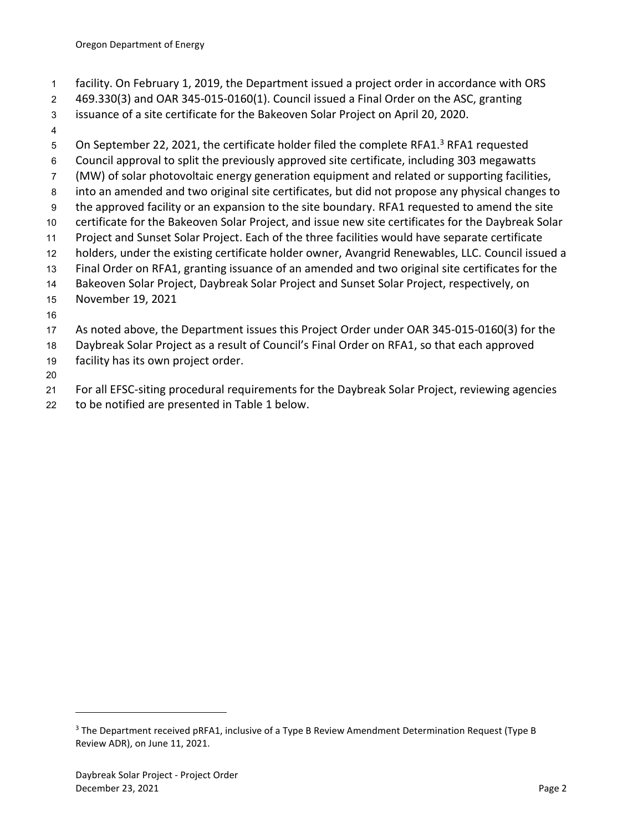- facility. On February 1, 2019, the Department issued a project order in accordance with ORS
- 469.330(3) and OAR 345-015-0160(1). Council issued a Final Order on the ASC, granting
- issuance of a site certificate for the Bakeoven Solar Project on April 20, 2020.
- 
- 5 On September 22, 2021, the certificate holder filed the complete RFA1.<sup>3</sup> RFA1 requested
- Council approval to split the previously approved site certificate, including 303 megawatts
- (MW) of solar photovoltaic energy generation equipment and related or supporting facilities,
- into an amended and two original site certificates, but did not propose any physical changes to
- the approved facility or an expansion to the site boundary. RFA1 requested to amend the site
- certificate for the Bakeoven Solar Project, and issue new site certificates for the Daybreak Solar
- Project and Sunset Solar Project. Each of the three facilities would have separate certificate
- holders, under the existing certificate holder owner, Avangrid Renewables, LLC. Council issued a Final Order on RFA1, granting issuance of an amended and two original site certificates for the
- Bakeoven Solar Project, Daybreak Solar Project and Sunset Solar Project, respectively, on
- November 19, 2021
- 
- As noted above, the Department issues this Project Order under OAR 345-015-0160(3) for the
- Daybreak Solar Project as a result of Council's Final Order on RFA1, so that each approved
- facility has its own project order.
- 
- For all EFSC-siting procedural requirements for the Daybreak Solar Project, reviewing agencies
- to be notified are presented in Table 1 below.

 The Department received pRFA1, inclusive of a Type B Review Amendment Determination Request (Type B Review ADR), on June 11, 2021.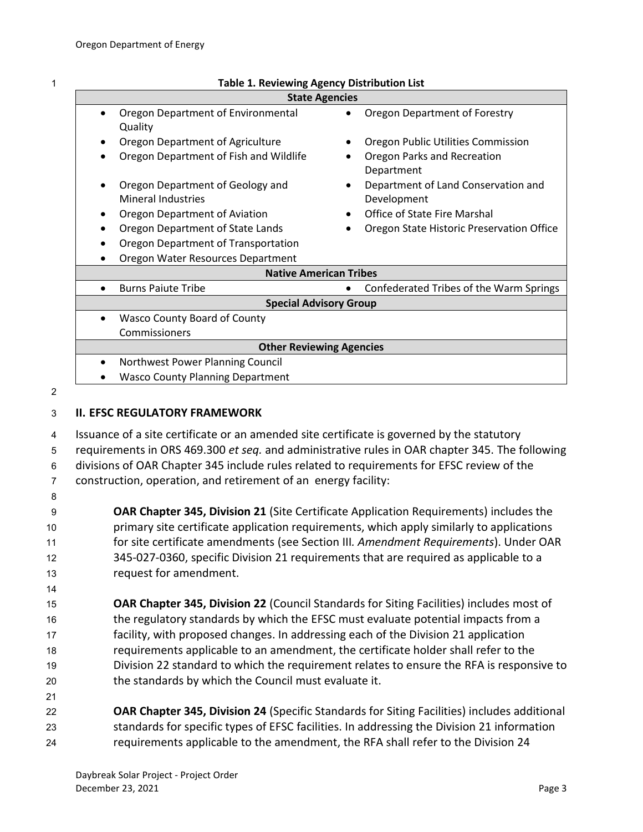| ٠ |
|---|
|   |
|   |
|   |

#### 1 **Table 1. Reviewing Agency Distribution List**

<span id="page-5-1"></span>

| <b>State Agencies</b>                   |                                                        |  |
|-----------------------------------------|--------------------------------------------------------|--|
| Oregon Department of Environmental      | Oregon Department of Forestry                          |  |
| Quality                                 |                                                        |  |
| Oregon Department of Agriculture        | Oregon Public Utilities Commission                     |  |
| Oregon Department of Fish and Wildlife  | Oregon Parks and Recreation<br>$\bullet$<br>Department |  |
| Oregon Department of Geology and        | Department of Land Conservation and<br>٠               |  |
| <b>Mineral Industries</b>               | Development                                            |  |
| Oregon Department of Aviation           | Office of State Fire Marshal                           |  |
| Oregon Department of State Lands        | Oregon State Historic Preservation Office              |  |
| Oregon Department of Transportation     |                                                        |  |
| Oregon Water Resources Department       |                                                        |  |
| <b>Native American Tribes</b>           |                                                        |  |
| <b>Burns Paiute Tribe</b>               | Confederated Tribes of the Warm Springs                |  |
| <b>Special Advisory Group</b>           |                                                        |  |
| <b>Wasco County Board of County</b>     |                                                        |  |
| Commissioners                           |                                                        |  |
| <b>Other Reviewing Agencies</b>         |                                                        |  |
| Northwest Power Planning Council        |                                                        |  |
| <b>Wasco County Planning Department</b> |                                                        |  |

2

14

21

#### <span id="page-5-0"></span>3 **II. EFSC REGULATORY FRAMEWORK**

 Issuance of a site certificate or an amended site certificate is governed by the statutory requirements in ORS 469.300 *et seq.* and administrative rules in OAR chapter 345. The following divisions of OAR Chapter 345 include rules related to requirements for EFSC review of the construction, operation, and retirement of an energy facility: 8

 **OAR Chapter 345, Division 21** (Site Certificate Application Requirements) includes the primary site certificate application requirements, which apply similarly to applications for site certificate amendments (see Section III*. Amendment Requirements*). Under OAR 345-027-0360, specific Division 21 requirements that are required as applicable to a request for amendment.

 **OAR Chapter 345, Division 22** (Council Standards for Siting Facilities) includes most of the regulatory standards by which the EFSC must evaluate potential impacts from a facility, with proposed changes. In addressing each of the Division 21 application requirements applicable to an amendment, the certificate holder shall refer to the Division 22 standard to which the requirement relates to ensure the RFA is responsive to the standards by which the Council must evaluate it.

22 **OAR Chapter 345, Division 24** (Specific Standards for Siting Facilities) includes additional 23 standards for specific types of EFSC facilities. In addressing the Division 21 information 24 requirements applicable to the amendment, the RFA shall refer to the Division 24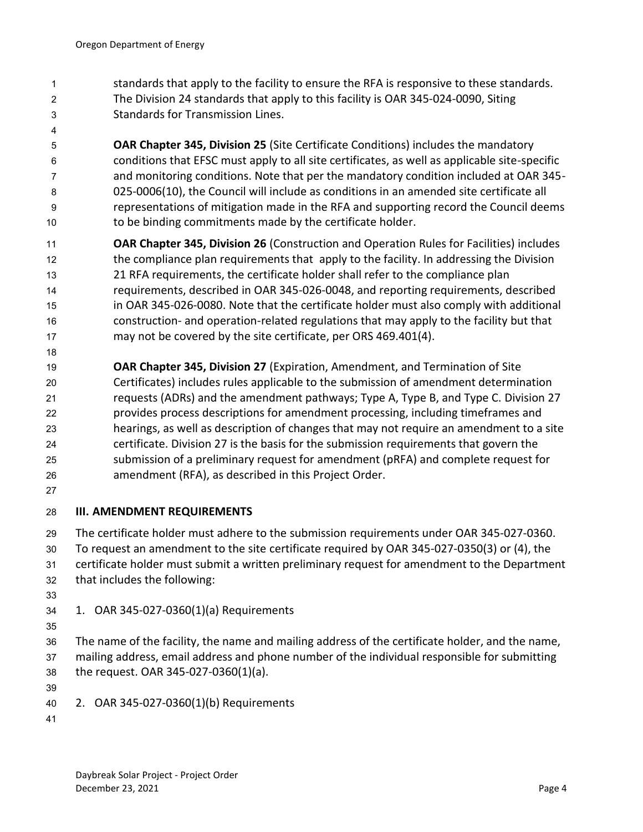- standards that apply to the facility to ensure the RFA is responsive to these standards. The Division 24 standards that apply to this facility is OAR 345-024-0090, Siting Standards for Transmission Lines.
- 

 **OAR Chapter 345, Division 25** (Site Certificate Conditions) includes the mandatory conditions that EFSC must apply to all site certificates, as well as applicable site-specific and monitoring conditions. Note that per the mandatory condition included at OAR 345- 025-0006(10), the Council will include as conditions in an amended site certificate all representations of mitigation made in the RFA and supporting record the Council deems to be binding commitments made by the certificate holder.

- **OAR Chapter 345, Division 26** (Construction and Operation Rules for Facilities) includes 12 the compliance plan requirements that apply to the facility. In addressing the Division 21 RFA requirements, the certificate holder shall refer to the compliance plan requirements, described in OAR 345-026-0048, and reporting requirements, described in OAR 345-026-0080. Note that the certificate holder must also comply with additional construction- and operation-related regulations that may apply to the facility but that may not be covered by the site certificate, per ORS 469.401(4).
- 

 **OAR Chapter 345, Division 27** (Expiration, Amendment, and Termination of Site Certificates) includes rules applicable to the submission of amendment determination requests (ADRs) and the amendment pathways; Type A, Type B, and Type C. Division 27 provides process descriptions for amendment processing, including timeframes and hearings, as well as description of changes that may not require an amendment to a site certificate. Division 27 is the basis for the submission requirements that govern the submission of a preliminary request for amendment (pRFA) and complete request for amendment (RFA), as described in this Project Order.

## <span id="page-6-0"></span>**III. AMENDMENT REQUIREMENTS**

The certificate holder must adhere to the submission requirements under OAR 345-027-0360.

- To request an amendment to the site certificate required by OAR 345-027-0350(3) or (4), the
- certificate holder must submit a written preliminary request for amendment to the Department
- that includes the following:
- 
- <span id="page-6-1"></span>1. OAR 345-027-0360(1)(a) Requirements
- 

 The name of the facility, the name and mailing address of the certificate holder, and the name, mailing address, email address and phone number of the individual responsible for submitting the request. OAR 345-027-0360(1)(a).

- 
- <span id="page-6-2"></span>2. OAR 345-027-0360(1)(b) Requirements
-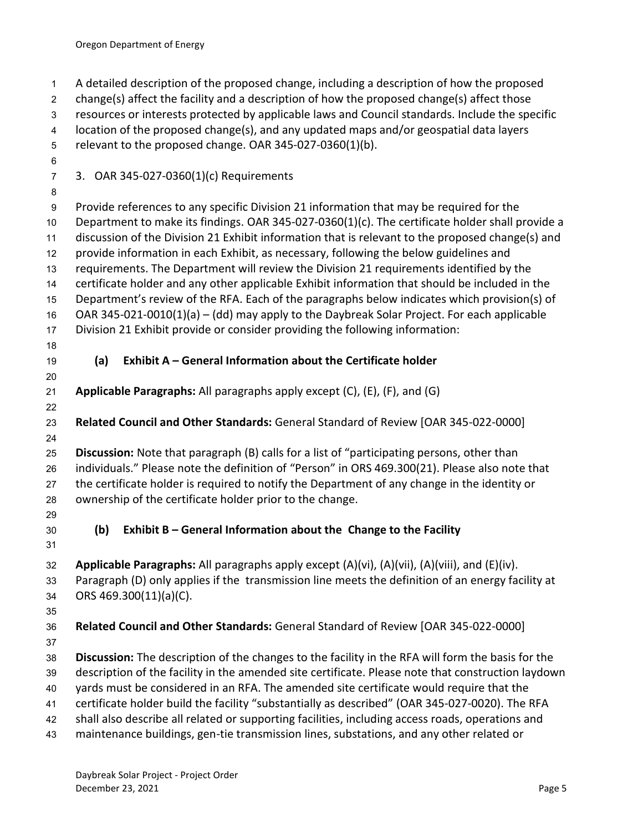<span id="page-7-2"></span><span id="page-7-1"></span><span id="page-7-0"></span> A detailed description of the proposed change, including a description of how the proposed change(s) affect the facility and a description of how the proposed change(s) affect those resources or interests protected by applicable laws and Council standards. Include the specific location of the proposed change(s), and any updated maps and/or geospatial data layers relevant to the proposed change. OAR 345-027-0360(1)(b). 3. OAR 345-027-0360(1)(c) Requirements Provide references to any specific Division 21 information that may be required for the Department to make its findings. OAR 345-027-0360(1)(c). The certificate holder shall provide a discussion of the Division 21 Exhibit information that is relevant to the proposed change(s) and provide information in each Exhibit, as necessary, following the below guidelines and requirements. The Department will review the Division 21 requirements identified by the certificate holder and any other applicable Exhibit information that should be included in the Department's review of the RFA. Each of the paragraphs below indicates which provision(s) of OAR 345-021-0010(1)(a) – (dd) may apply to the Daybreak Solar Project. For each applicable Division 21 Exhibit provide or consider providing the following information: **(a) Exhibit A – General Information about the Certificate holder Applicable Paragraphs:** All paragraphs apply except (C), (E), (F), and (G) **Related Council and Other Standards:** General Standard of Review [OAR 345-022-0000] **Discussion:** Note that paragraph (B) calls for a list of "participating persons, other than individuals." Please note the definition of "Person" in ORS 469.300(21). Please also note that the certificate holder is required to notify the Department of any change in the identity or ownership of the certificate holder prior to the change. **(b) Exhibit B – General Information about the Change to the Facility Applicable Paragraphs:** All paragraphs apply except (A)(vi), (A)(vii), (A)(viii), and (E)(iv). Paragraph (D) only applies if the transmission line meets the definition of an energy facility at ORS 469.300(11)(a)(C). **Related Council and Other Standards:** General Standard of Review [OAR 345-022-0000] **Discussion:** The description of the changes to the facility in the RFA will form the basis for the description of the facility in the amended site certificate. Please note that construction laydown yards must be considered in an RFA. The amended site certificate would require that the certificate holder build the facility "substantially as described" (OAR 345-027-0020). The RFA shall also describe all related or supporting facilities, including access roads, operations and maintenance buildings, gen-tie transmission lines, substations, and any other related or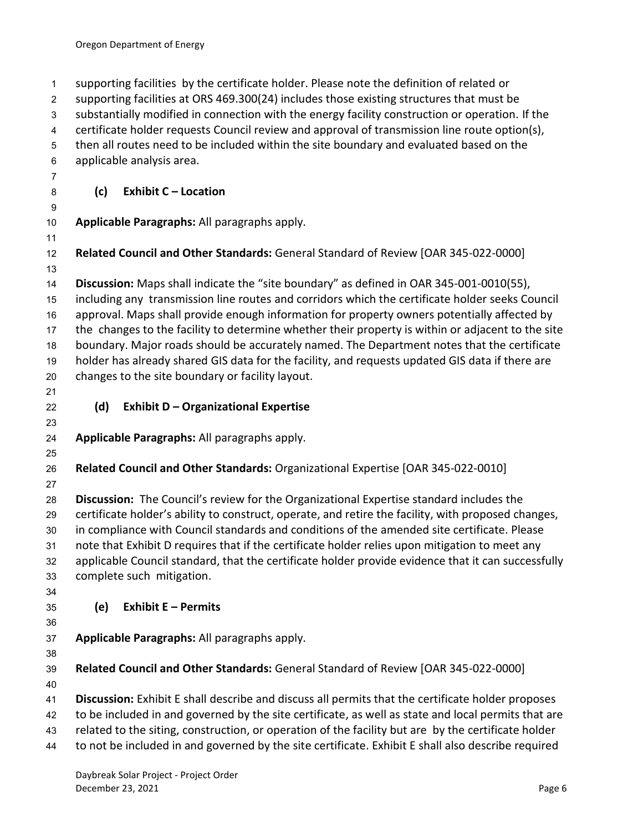<span id="page-8-2"></span><span id="page-8-1"></span><span id="page-8-0"></span> supporting facilities by the certificate holder. Please note the definition of related or supporting facilities at ORS 469.300(24) includes those existing structures that must be substantially modified in connection with the energy facility construction or operation. If the certificate holder requests Council review and approval of transmission line route option(s), then all routes need to be included within the site boundary and evaluated based on the applicable analysis area. **(c) Exhibit C – Location Applicable Paragraphs:** All paragraphs apply. **Related Council and Other Standards:** General Standard of Review [OAR 345-022-0000] **Discussion:** Maps shall indicate the "site boundary" as defined in OAR 345-001-0010(55), including any transmission line routes and corridors which the certificate holder seeks Council approval. Maps shall provide enough information for property owners potentially affected by the changes to the facility to determine whether their property is within or adjacent to the site boundary. Major roads should be accurately named. The Department notes that the certificate holder has already shared GIS data for the facility, and requests updated GIS data if there are changes to the site boundary or facility layout. **(d) Exhibit D – Organizational Expertise Applicable Paragraphs:** All paragraphs apply. **Related Council and Other Standards:** Organizational Expertise [OAR 345-022-0010] **Discussion:** The Council's review for the Organizational Expertise standard includes the certificate holder's ability to construct, operate, and retire the facility, with proposed changes, in compliance with Council standards and conditions of the amended site certificate. Please note that Exhibit D requires that if the certificate holder relies upon mitigation to meet any applicable Council standard, that the certificate holder provide evidence that it can successfully complete such mitigation. **(e) Exhibit E – Permits Applicable Paragraphs:** All paragraphs apply. **Related Council and Other Standards:** General Standard of Review [OAR 345-022-0000] **Discussion:** Exhibit E shall describe and discuss all permits that the certificate holder proposes to be included in and governed by the site certificate, as well as state and local permits that are related to the siting, construction, or operation of the facility but are by the certificate holder to not be included in and governed by the site certificate. Exhibit E shall also describe required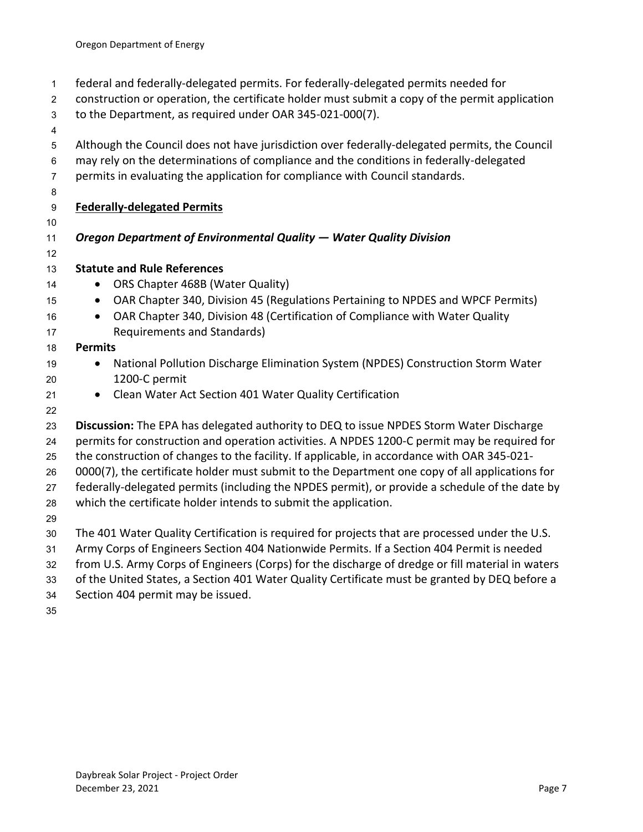- federal and federally-delegated permits. For federally-delegated permits needed for
- construction or operation, the certificate holder must submit a copy of the permit application
- to the Department, as required under OAR 345-021-000(7).
- 
- Although the Council does not have jurisdiction over federally-delegated permits, the Council
- may rely on the determinations of compliance and the conditions in federally-delegated
- permits in evaluating the application for compliance with Council standards.
- 
- **Federally-delegated Permits**
- 

# *Oregon Department of Environmental Quality — Water Quality Division*

- **Statute and Rule References**
- 14 ORS Chapter 468B (Water Quality)
- OAR Chapter 340, Division 45 (Regulations Pertaining to NPDES and WPCF Permits)
- OAR Chapter 340, Division 48 (Certification of Compliance with Water Quality Requirements and Standards)

#### **Permits**

- 19 National Pollution Discharge Elimination System (NPDES) Construction Storm Water 1200-C permit
- Clean Water Act Section 401 Water Quality Certification
- 

 **Discussion:** The EPA has delegated authority to DEQ to issue NPDES Storm Water Discharge permits for construction and operation activities. A NPDES 1200-C permit may be required for

the construction of changes to the facility. If applicable, in accordance with OAR 345-021-

0000(7), the certificate holder must submit to the Department one copy of all applications for

federally-delegated permits (including the NPDES permit), or provide a schedule of the date by

- which the certificate holder intends to submit the application.
- 
- The 401 Water Quality Certification is required for projects that are processed under the U.S.
- Army Corps of Engineers Section 404 Nationwide Permits. If a Section 404 Permit is needed
- from U.S. Army Corps of Engineers (Corps) for the discharge of dredge or fill material in waters
- of the United States, a Section 401 Water Quality Certificate must be granted by DEQ before a
- Section 404 permit may be issued.
-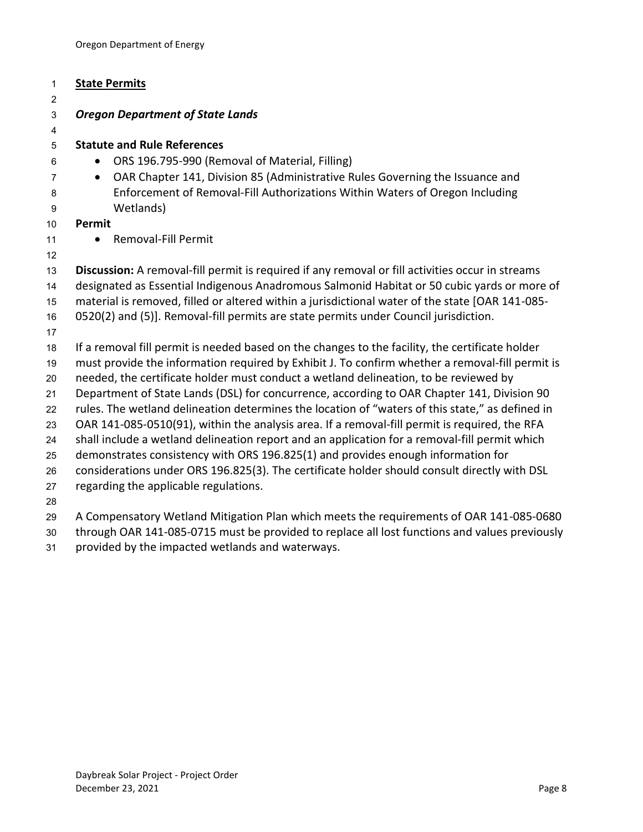| $\mathbf{1}$   | <b>State Permits</b>                                                                                                                  |
|----------------|---------------------------------------------------------------------------------------------------------------------------------------|
| 2              |                                                                                                                                       |
| 3              | <b>Oregon Department of State Lands</b>                                                                                               |
| 4              |                                                                                                                                       |
| 5              | <b>Statute and Rule References</b>                                                                                                    |
| 6              | ORS 196.795-990 (Removal of Material, Filling)<br>$\bullet$                                                                           |
| $\overline{7}$ | OAR Chapter 141, Division 85 (Administrative Rules Governing the Issuance and<br>$\bullet$                                            |
| 8<br>9         | Enforcement of Removal-Fill Authorizations Within Waters of Oregon Including<br>Wetlands)                                             |
| 10             | Permit                                                                                                                                |
| 11             | Removal-Fill Permit                                                                                                                   |
| 12             |                                                                                                                                       |
| 13             | Discussion: A removal-fill permit is required if any removal or fill activities occur in streams                                      |
| 14             | designated as Essential Indigenous Anadromous Salmonid Habitat or 50 cubic yards or more of                                           |
| 15             | material is removed, filled or altered within a jurisdictional water of the state [OAR 141-085-                                       |
| 16             | 0520(2) and (5)]. Removal-fill permits are state permits under Council jurisdiction.                                                  |
| 17             |                                                                                                                                       |
| 18             | If a removal fill permit is needed based on the changes to the facility, the certificate holder                                       |
| 19             | must provide the information required by Exhibit J. To confirm whether a removal-fill permit is                                       |
| 20             | needed, the certificate holder must conduct a wetland delineation, to be reviewed by                                                  |
| 21             | Department of State Lands (DSL) for concurrence, according to OAR Chapter 141, Division 90                                            |
| 22             | rules. The wetland delineation determines the location of "waters of this state," as defined in                                       |
| 23             | OAR 141-085-0510(91), within the analysis area. If a removal-fill permit is required, the RFA                                         |
| 24             | shall include a wetland delineation report and an application for a removal-fill permit which                                         |
| 25             | demonstrates consistency with ORS 196.825(1) and provides enough information for                                                      |
| 26<br>27       | considerations under ORS 196.825(3). The certificate holder should consult directly with DSL<br>regarding the applicable regulations. |
| 28             |                                                                                                                                       |
| າດ             | A Companizatory Watland Mitigation Plan which meets the requirements of OAR 141-085-0680                                              |

- A Compensatory Wetland Mitigation Plan which meets the requirements of OAR 141-085-0680 through OAR 141-085-0715 must be provided to replace all lost functions and values previously
- provided by the impacted wetlands and waterways.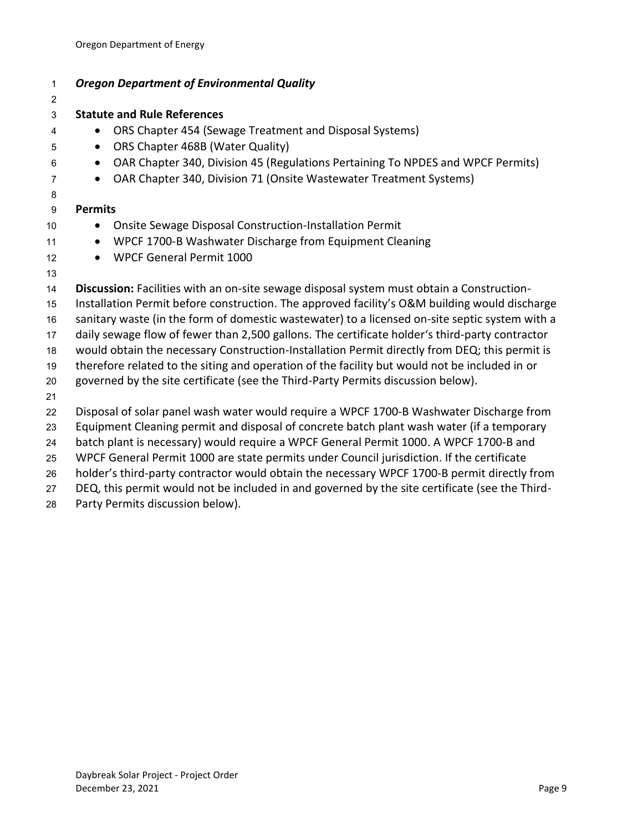| $\mathbf{1}$   | <b>Oregon Department of Environmental Quality</b>                                              |
|----------------|------------------------------------------------------------------------------------------------|
| $\overline{c}$ |                                                                                                |
| 3              | <b>Statute and Rule References</b>                                                             |
| 4              | ORS Chapter 454 (Sewage Treatment and Disposal Systems)                                        |
| 5              | ORS Chapter 468B (Water Quality)<br>$\bullet$                                                  |
| 6              | OAR Chapter 340, Division 45 (Regulations Pertaining To NPDES and WPCF Permits)<br>$\bullet$   |
| $\overline{7}$ | OAR Chapter 340, Division 71 (Onsite Wastewater Treatment Systems)<br>$\bullet$                |
| 8              |                                                                                                |
| 9              | <b>Permits</b>                                                                                 |
| 10             | Onsite Sewage Disposal Construction-Installation Permit<br>$\bullet$                           |
| 11             | WPCF 1700-B Washwater Discharge from Equipment Cleaning<br>$\bullet$                           |
| 12             | <b>WPCF General Permit 1000</b><br>$\bullet$                                                   |
| 13             |                                                                                                |
| 14             | Discussion: Facilities with an on-site sewage disposal system must obtain a Construction-      |
| 15             | Installation Permit before construction. The approved facility's O&M building would discharge  |
| 16             | sanitary waste (in the form of domestic wastewater) to a licensed on-site septic system with a |
| 17             | daily sewage flow of fewer than 2,500 gallons. The certificate holder's third-party contractor |
| 18             | would obtain the necessary Construction-Installation Permit directly from DEQ; this permit is  |
| 19             | therefore related to the siting and operation of the facility but would not be included in or  |
| 20             | governed by the site certificate (see the Third-Party Permits discussion below).               |
| 21             |                                                                                                |
| 22             | Disposal of solar panel wash water would require a WPCF 1700-B Washwater Discharge from        |
| 23             | Equipment Cleaning permit and disposal of concrete batch plant wash water (if a temporary      |
| 24             | batch plant is necessary) would require a WPCF General Permit 1000. A WPCF 1700-B and          |
| 25             | WPCF General Permit 1000 are state permits under Council jurisdiction. If the certificate      |
| 26             | holder's third-party contractor would obtain the necessary WPCF 1700-B permit directly from    |
| 27             | DEQ, this permit would not be included in and governed by the site certificate (see the Third- |

Party Permits discussion below).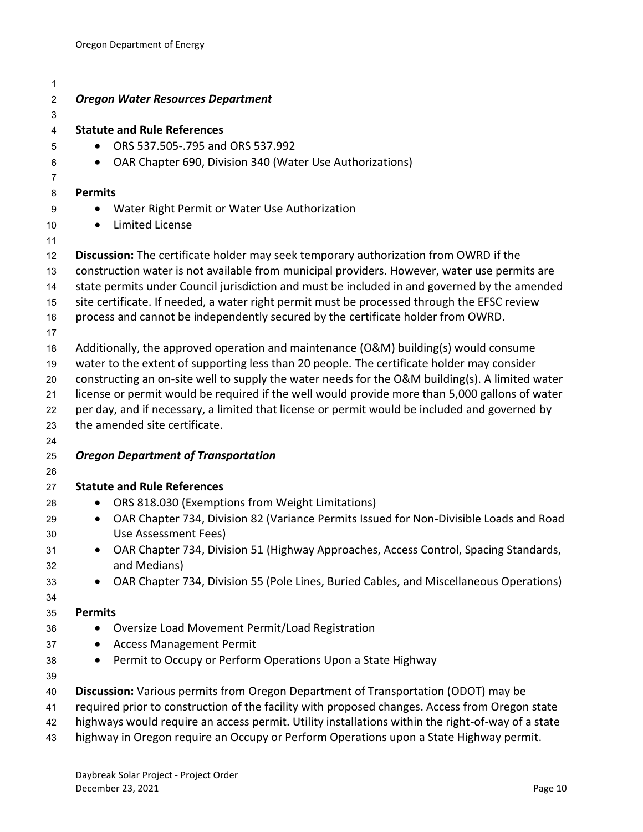| 1              |                                                                                                                                                                                                   |
|----------------|---------------------------------------------------------------------------------------------------------------------------------------------------------------------------------------------------|
| $\overline{c}$ | <b>Oregon Water Resources Department</b>                                                                                                                                                          |
| 3              |                                                                                                                                                                                                   |
| 4              | <b>Statute and Rule References</b>                                                                                                                                                                |
| 5              | ORS 537.505-.795 and ORS 537.992                                                                                                                                                                  |
| 6              | OAR Chapter 690, Division 340 (Water Use Authorizations)<br>$\bullet$                                                                                                                             |
| $\overline{7}$ |                                                                                                                                                                                                   |
| 8              | <b>Permits</b>                                                                                                                                                                                    |
| 9              | Water Right Permit or Water Use Authorization                                                                                                                                                     |
| 10             | <b>Limited License</b><br>$\bullet$                                                                                                                                                               |
| 11             |                                                                                                                                                                                                   |
| 12             | Discussion: The certificate holder may seek temporary authorization from OWRD if the                                                                                                              |
| 13             | construction water is not available from municipal providers. However, water use permits are                                                                                                      |
| 14             | state permits under Council jurisdiction and must be included in and governed by the amended                                                                                                      |
| 15             | site certificate. If needed, a water right permit must be processed through the EFSC review                                                                                                       |
| 16             | process and cannot be independently secured by the certificate holder from OWRD.                                                                                                                  |
| 17             |                                                                                                                                                                                                   |
| 18             | Additionally, the approved operation and maintenance (O&M) building(s) would consume                                                                                                              |
| 19             | water to the extent of supporting less than 20 people. The certificate holder may consider                                                                                                        |
| 20             | constructing an on-site well to supply the water needs for the O&M building(s). A limited water<br>license or permit would be required if the well would provide more than 5,000 gallons of water |
| 21<br>22       | per day, and if necessary, a limited that license or permit would be included and governed by                                                                                                     |
| 23             | the amended site certificate.                                                                                                                                                                     |
| 24             |                                                                                                                                                                                                   |
| 25             | <b>Oregon Department of Transportation</b>                                                                                                                                                        |
| 26             |                                                                                                                                                                                                   |
| 27             | <b>Statute and Rule References</b>                                                                                                                                                                |
| 28             | ORS 818.030 (Exemptions from Weight Limitations)<br>$\bullet$                                                                                                                                     |
| 29             | OAR Chapter 734, Division 82 (Variance Permits Issued for Non-Divisible Loads and Road<br>$\bullet$                                                                                               |
| 30             | Use Assessment Fees)                                                                                                                                                                              |
| 31             | OAR Chapter 734, Division 51 (Highway Approaches, Access Control, Spacing Standards,                                                                                                              |
| 32             | and Medians)                                                                                                                                                                                      |
| 33             | OAR Chapter 734, Division 55 (Pole Lines, Buried Cables, and Miscellaneous Operations)                                                                                                            |
| 34             |                                                                                                                                                                                                   |
| 35             | <b>Permits</b>                                                                                                                                                                                    |
| 36             | Oversize Load Movement Permit/Load Registration<br>٠                                                                                                                                              |
| 37             | <b>Access Management Permit</b>                                                                                                                                                                   |
| 38             | Permit to Occupy or Perform Operations Upon a State Highway<br>$\bullet$                                                                                                                          |
| 39             |                                                                                                                                                                                                   |
| 40             | Discussion: Various permits from Oregon Department of Transportation (ODOT) may be                                                                                                                |
| 41             | required prior to construction of the facility with proposed changes. Access from Oregon state                                                                                                    |
| 42             | highways would require an access permit. Utility installations within the right-of-way of a state                                                                                                 |
| 43             | highway in Oregon require an Occupy or Perform Operations upon a State Highway permit.                                                                                                            |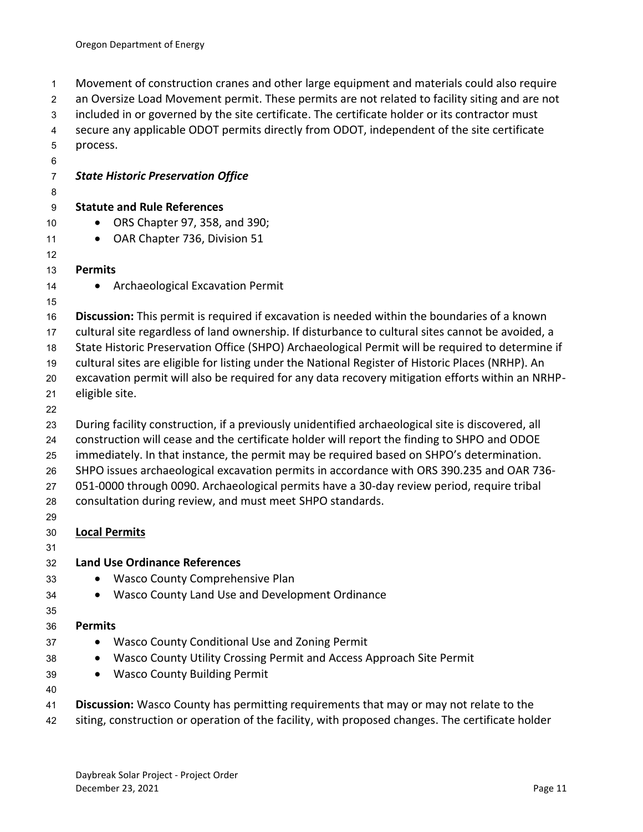Movement of construction cranes and other large equipment and materials could also require an Oversize Load Movement permit. These permits are not related to facility siting and are not included in or governed by the site certificate. The certificate holder or its contractor must secure any applicable ODOT permits directly from ODOT, independent of the site certificate process. *State Historic Preservation Office* **Statute and Rule References** • ORS Chapter 97, 358, and 390; 11 • OAR Chapter 736, Division 51 **Permits**  14 • Archaeological Excavation Permit **Discussion:** This permit is required if excavation is needed within the boundaries of a known cultural site regardless of land ownership. If disturbance to cultural sites cannot be avoided, a State Historic Preservation Office (SHPO) Archaeological Permit will be required to determine if cultural sites are eligible for listing under the National Register of Historic Places (NRHP). An excavation permit will also be required for any data recovery mitigation efforts within an NRHP- eligible site. During facility construction, if a previously unidentified archaeological site is discovered, all construction will cease and the certificate holder will report the finding to SHPO and ODOE immediately. In that instance, the permit may be required based on SHPO's determination. SHPO issues archaeological excavation permits in accordance with ORS 390.235 and OAR 736- 051-0000 through 0090. Archaeological permits have a 30-day review period, require tribal consultation during review, and must meet SHPO standards. **Local Permits Land Use Ordinance References** • Wasco County Comprehensive Plan • Wasco County Land Use and Development Ordinance **Permits** 37 • Wasco County Conditional Use and Zoning Permit • Wasco County Utility Crossing Permit and Access Approach Site Permit • Wasco County Building Permit **Discussion:** Wasco County has permitting requirements that may or may not relate to the 42 siting, construction or operation of the facility, with proposed changes. The certificate holder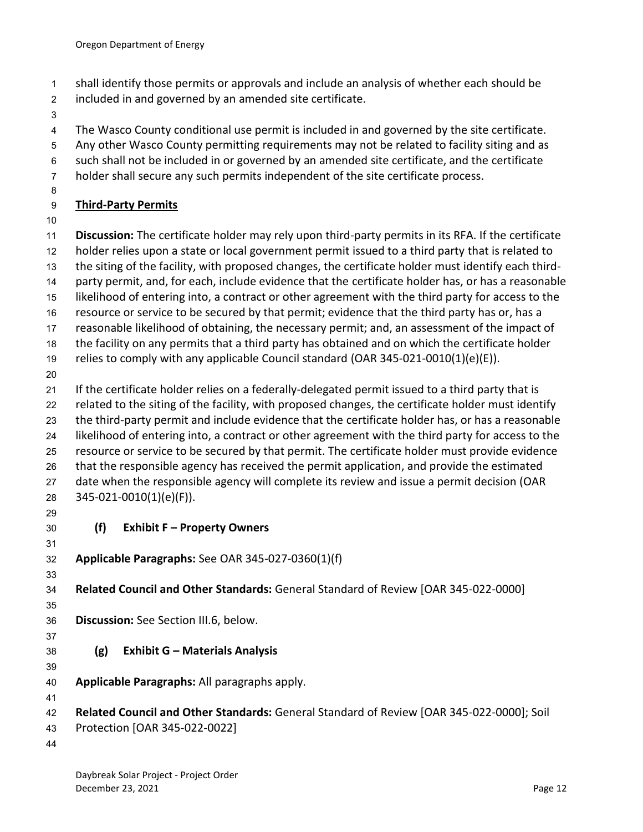- shall identify those permits or approvals and include an analysis of whether each should be
- included in and governed by an amended site certificate.
- 
- The Wasco County conditional use permit is included in and governed by the site certificate.
- Any other Wasco County permitting requirements may not be related to facility siting and as
- such shall not be included in or governed by an amended site certificate, and the certificate
- holder shall secure any such permits independent of the site certificate process.
- 

# **Third-Party Permits**

**Discussion:** The certificate holder may rely upon third-party permits in its RFA. If the certificate

- holder relies upon a state or local government permit issued to a third party that is related to
- the siting of the facility, with proposed changes, the certificate holder must identify each third-
- party permit, and, for each, include evidence that the certificate holder has, or has a reasonable
- likelihood of entering into, a contract or other agreement with the third party for access to the
- resource or service to be secured by that permit; evidence that the third party has or, has a
- reasonable likelihood of obtaining, the necessary permit; and, an assessment of the impact of
- the facility on any permits that a third party has obtained and on which the certificate holder relies to comply with any applicable Council standard (OAR 345-021-0010(1)(e)(E)).
- 

 If the certificate holder relies on a federally-delegated permit issued to a third party that is related to the siting of the facility, with proposed changes, the certificate holder must identify the third-party permit and include evidence that the certificate holder has, or has a reasonable likelihood of entering into, a contract or other agreement with the third party for access to the resource or service to be secured by that permit. The certificate holder must provide evidence that the responsible agency has received the permit application, and provide the estimated 27 date when the responsible agency will complete its review and issue a permit decision (OAR 345-021-0010(1)(e)(F)).

- 
- <span id="page-14-0"></span>
- **(f) Exhibit F – Property Owners**
- 
- **Applicable Paragraphs:** See OAR 345-027-0360(1)(f)

#### **Related Council and Other Standards:** General Standard of Review [OAR 345-022-0000]

- 
- **Discussion:** See Section III.6, below.
- <span id="page-14-1"></span>**(g) Exhibit G – Materials Analysis**
- **Applicable Paragraphs:** All paragraphs apply.
- 

- **Related Council and Other Standards:** General Standard of Review [OAR 345-022-0000]; Soil
- Protection [OAR 345-022-0022]
-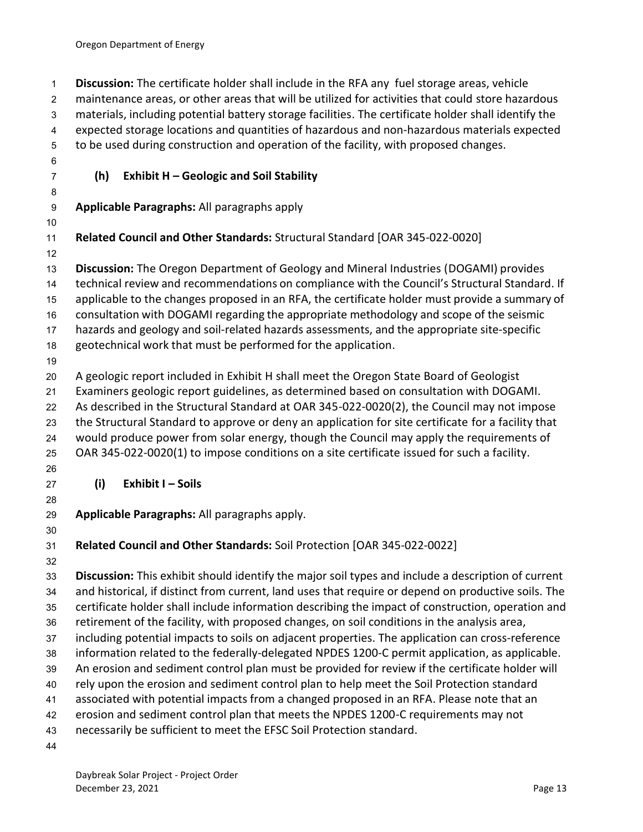<span id="page-15-1"></span><span id="page-15-0"></span> **Discussion:** The certificate holder shall include in the RFA any fuel storage areas, vehicle maintenance areas, or other areas that will be utilized for activities that could store hazardous materials, including potential battery storage facilities. The certificate holder shall identify the expected storage locations and quantities of hazardous and non-hazardous materials expected to be used during construction and operation of the facility, with proposed changes. **(h) Exhibit H – Geologic and Soil Stability Applicable Paragraphs:** All paragraphs apply **Related Council and Other Standards:** Structural Standard [OAR 345-022-0020] **Discussion:** The Oregon Department of Geology and Mineral Industries (DOGAMI) provides technical review and recommendations on compliance with the Council's Structural Standard. If applicable to the changes proposed in an RFA, the certificate holder must provide a summary of consultation with DOGAMI regarding the appropriate methodology and scope of the seismic hazards and geology and soil-related hazards assessments, and the appropriate site-specific geotechnical work that must be performed for the application. A geologic report included in Exhibit H shall meet the Oregon State Board of Geologist Examiners geologic report guidelines, as determined based on consultation with DOGAMI. As described in the Structural Standard at OAR 345-022-0020(2), the Council may not impose the Structural Standard to approve or deny an application for site certificate for a facility that would produce power from solar energy, though the Council may apply the requirements of OAR 345-022-0020(1) to impose conditions on a site certificate issued for such a facility. **(i) Exhibit I – Soils Applicable Paragraphs:** All paragraphs apply. **Related Council and Other Standards:** Soil Protection [OAR 345-022-0022] **Discussion:** This exhibit should identify the major soil types and include a description of current and historical, if distinct from current, land uses that require or depend on productive soils. The certificate holder shall include information describing the impact of construction, operation and retirement of the facility, with proposed changes, on soil conditions in the analysis area, including potential impacts to soils on adjacent properties. The application can cross-reference information related to the federally-delegated NPDES 1200-C permit application, as applicable. An erosion and sediment control plan must be provided for review if the certificate holder will rely upon the erosion and sediment control plan to help meet the Soil Protection standard associated with potential impacts from a changed proposed in an RFA. Please note that an erosion and sediment control plan that meets the NPDES 1200-C requirements may not necessarily be sufficient to meet the EFSC Soil Protection standard.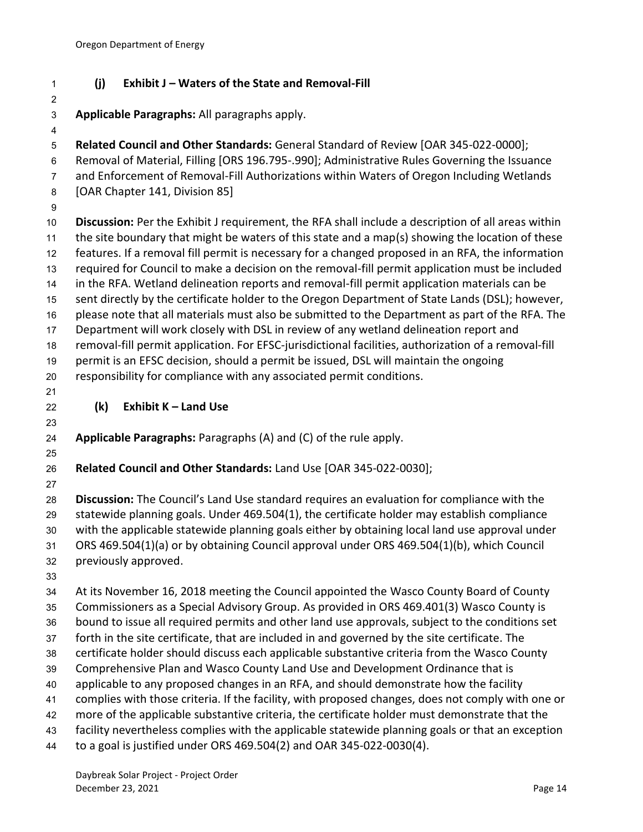# <span id="page-16-0"></span>**(j) Exhibit J – Waters of the State and Removal-Fill**

- **Applicable Paragraphs:** All paragraphs apply.
- **Related Council and Other Standards:** General Standard of Review [OAR 345-022-0000]; Removal of Material, Filling [ORS 196.795-.990]; Administrative Rules Governing the Issuance and Enforcement of Removal-Fill Authorizations within Waters of Oregon Including Wetlands [OAR Chapter 141, Division 85] **Discussion:** Per the Exhibit J requirement, the RFA shall include a description of all areas within the site boundary that might be waters of this state and a map(s) showing the location of these
- features. If a removal fill permit is necessary for a changed proposed in an RFA, the information required for Council to make a decision on the removal-fill permit application must be included in the RFA. Wetland delineation reports and removal-fill permit application materials can be sent directly by the certificate holder to the Oregon Department of State Lands (DSL); however, please note that all materials must also be submitted to the Department as part of the RFA. The Department will work closely with DSL in review of any wetland delineation report and removal-fill permit application. For EFSC-jurisdictional facilities, authorization of a removal-fill permit is an EFSC decision, should a permit be issued, DSL will maintain the ongoing responsibility for compliance with any associated permit conditions. **(k) Exhibit K – Land Use Applicable Paragraphs:** Paragraphs (A) and (C) of the rule apply.
- <span id="page-16-1"></span>**Related Council and Other Standards:** Land Use [OAR 345-022-0030];
- 

 **Discussion:** The Council's Land Use standard requires an evaluation for compliance with the statewide planning goals. Under 469.504(1), the certificate holder may establish compliance with the applicable statewide planning goals either by obtaining local land use approval under ORS 469.504(1)(a) or by obtaining Council approval under ORS 469.504(1)(b), which Council previously approved.

 At its November 16, 2018 meeting the Council appointed the Wasco County Board of County Commissioners as a Special Advisory Group. As provided in ORS 469.401(3) Wasco County is bound to issue all required permits and other land use approvals, subject to the conditions set forth in the site certificate, that are included in and governed by the site certificate. The certificate holder should discuss each applicable substantive criteria from the Wasco County Comprehensive Plan and Wasco County Land Use and Development Ordinance that is applicable to any proposed changes in an RFA, and should demonstrate how the facility complies with those criteria. If the facility, with proposed changes, does not comply with one or more of the applicable substantive criteria, the certificate holder must demonstrate that the facility nevertheless complies with the applicable statewide planning goals or that an exception to a goal is justified under ORS 469.504(2) and OAR 345-022-0030(4).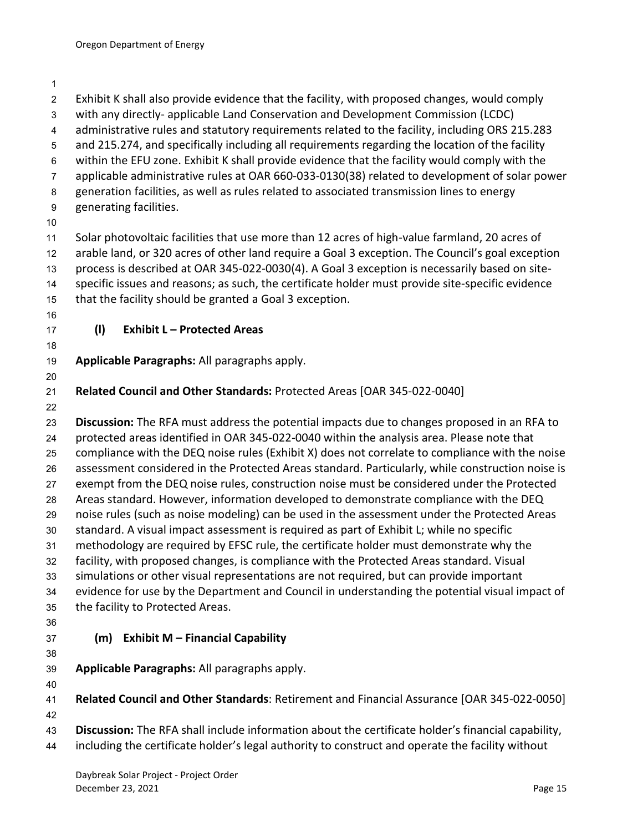<span id="page-17-1"></span><span id="page-17-0"></span>

| $\overline{c}$   | Exhibit K shall also provide evidence that the facility, with proposed changes, would comply       |
|------------------|----------------------------------------------------------------------------------------------------|
| 3                | with any directly-applicable Land Conservation and Development Commission (LCDC)                   |
| $\overline{4}$   | administrative rules and statutory requirements related to the facility, including ORS 215.283     |
| $\mathbf 5$      | and 215.274, and specifically including all requirements regarding the location of the facility    |
| 6                | within the EFU zone. Exhibit K shall provide evidence that the facility would comply with the      |
| $\overline{7}$   | applicable administrative rules at OAR 660-033-0130(38) related to development of solar power      |
| 8                | generation facilities, as well as rules related to associated transmission lines to energy         |
| $\boldsymbol{9}$ | generating facilities.                                                                             |
| 10               |                                                                                                    |
| 11               | Solar photovoltaic facilities that use more than 12 acres of high-value farmland, 20 acres of      |
| 12               | arable land, or 320 acres of other land require a Goal 3 exception. The Council's goal exception   |
| 13               | process is described at OAR 345-022-0030(4). A Goal 3 exception is necessarily based on site-      |
| 14               | specific issues and reasons; as such, the certificate holder must provide site-specific evidence   |
| 15               | that the facility should be granted a Goal 3 exception.                                            |
| 16               | <b>Exhibit L - Protected Areas</b>                                                                 |
| 17<br>18         | (1)                                                                                                |
| 19               | Applicable Paragraphs: All paragraphs apply.                                                       |
| 20               |                                                                                                    |
| 21               | Related Council and Other Standards: Protected Areas [OAR 345-022-0040]                            |
| 22               |                                                                                                    |
| 23               | Discussion: The RFA must address the potential impacts due to changes proposed in an RFA to        |
| 24               | protected areas identified in OAR 345-022-0040 within the analysis area. Please note that          |
| 25               | compliance with the DEQ noise rules (Exhibit X) does not correlate to compliance with the noise    |
| 26               | assessment considered in the Protected Areas standard. Particularly, while construction noise is   |
| 27               | exempt from the DEQ noise rules, construction noise must be considered under the Protected         |
| 28               | Areas standard. However, information developed to demonstrate compliance with the DEQ              |
| 29               | noise rules (such as noise modeling) can be used in the assessment under the Protected Areas       |
| 30               | standard. A visual impact assessment is required as part of Exhibit L; while no specific           |
| 31               | methodology are required by EFSC rule, the certificate holder must demonstrate why the             |
| 32               | facility, with proposed changes, is compliance with the Protected Areas standard. Visual           |
| 33               | simulations or other visual representations are not required, but can provide important            |
| 34               | evidence for use by the Department and Council in understanding the potential visual impact of     |
| 35               | the facility to Protected Areas.                                                                   |
| 36               |                                                                                                    |
| 37               | <b>Exhibit M - Financial Capability</b><br>(m)                                                     |
| 38               | Applicable Paragraphs: All paragraphs apply.                                                       |
| 39<br>40         |                                                                                                    |
| 41               | Related Council and Other Standards: Retirement and Financial Assurance [OAR 345-022-0050]         |
| 42               |                                                                                                    |
| 43               | Discussion: The RFA shall include information about the certificate holder's financial capability, |
| 44               | including the certificate holder's legal authority to construct and operate the facility without   |
|                  |                                                                                                    |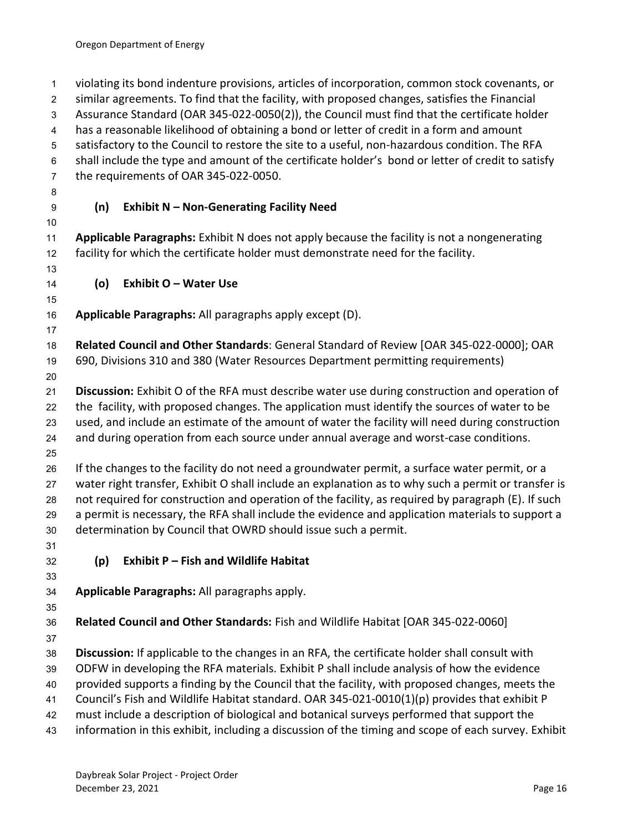<span id="page-18-2"></span><span id="page-18-1"></span><span id="page-18-0"></span> violating its bond indenture provisions, articles of incorporation, common stock covenants, or similar agreements. To find that the facility, with proposed changes, satisfies the Financial Assurance Standard (OAR 345-022-0050(2)), the Council must find that the certificate holder has a reasonable likelihood of obtaining a bond or letter of credit in a form and amount satisfactory to the Council to restore the site to a useful, non-hazardous condition. The RFA shall include the type and amount of the certificate holder's bond or letter of credit to satisfy the requirements of OAR 345-022-0050. **(n) Exhibit N – Non-Generating Facility Need Applicable Paragraphs:** Exhibit N does not apply because the facility is not a nongenerating facility for which the certificate holder must demonstrate need for the facility. **(o) Exhibit O – Water Use Applicable Paragraphs:** All paragraphs apply except (D). **Related Council and Other Standards**: General Standard of Review [OAR 345-022-0000]; OAR 690, Divisions 310 and 380 (Water Resources Department permitting requirements) **Discussion:** Exhibit O of the RFA must describe water use during construction and operation of the facility, with proposed changes. The application must identify the sources of water to be used, and include an estimate of the amount of water the facility will need during construction and during operation from each source under annual average and worst-case conditions. If the changes to the facility do not need a groundwater permit, a surface water permit, or a water right transfer, Exhibit O shall include an explanation as to why such a permit or transfer is not required for construction and operation of the facility, as required by paragraph (E). If such a permit is necessary, the RFA shall include the evidence and application materials to support a determination by Council that OWRD should issue such a permit. **(p) Exhibit P – Fish and Wildlife Habitat Applicable Paragraphs:** All paragraphs apply. **Related Council and Other Standards:** Fish and Wildlife Habitat [OAR 345-022-0060] **Discussion:** If applicable to the changes in an RFA, the certificate holder shall consult with ODFW in developing the RFA materials. Exhibit P shall include analysis of how the evidence provided supports a finding by the Council that the facility, with proposed changes, meets the Council's Fish and Wildlife Habitat standard. OAR 345-021-0010(1)(p) provides that exhibit P must include a description of biological and botanical surveys performed that support the information in this exhibit, including a discussion of the timing and scope of each survey. Exhibit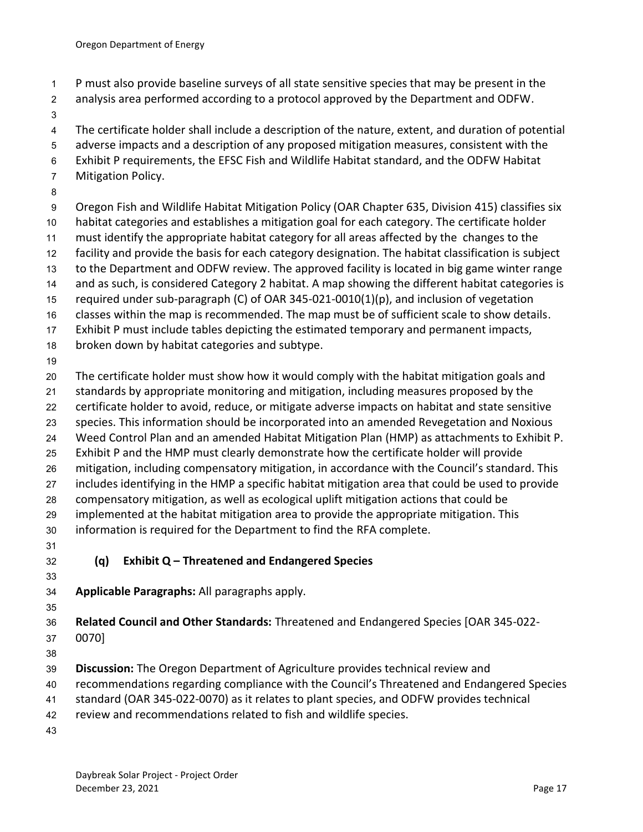- P must also provide baseline surveys of all state sensitive species that may be present in the
- analysis area performed according to a protocol approved by the Department and ODFW.
- 

The certificate holder shall include a description of the nature, extent, and duration of potential

- adverse impacts and a description of any proposed mitigation measures, consistent with the
- Exhibit P requirements, the EFSC Fish and Wildlife Habitat standard, and the ODFW Habitat
- Mitigation Policy.
- 

Oregon Fish and Wildlife Habitat Mitigation Policy (OAR Chapter 635, Division 415) classifies six

- habitat categories and establishes a mitigation goal for each category. The certificate holder
- must identify the appropriate habitat category for all areas affected by the changes to the
- facility and provide the basis for each category designation. The habitat classification is subject
- to the Department and ODFW review. The approved facility is located in big game winter range 14 and as such, is considered Category 2 habitat. A map showing the different habitat categories is
- required under sub-paragraph (C) of OAR 345-021-0010(1)(p), and inclusion of vegetation
- classes within the map is recommended. The map must be of sufficient scale to show details.
- Exhibit P must include tables depicting the estimated temporary and permanent impacts,
- broken down by habitat categories and subtype.
- 

The certificate holder must show how it would comply with the habitat mitigation goals and

- standards by appropriate monitoring and mitigation, including measures proposed by the
- certificate holder to avoid, reduce, or mitigate adverse impacts on habitat and state sensitive
- species. This information should be incorporated into an amended Revegetation and Noxious
- Weed Control Plan and an amended Habitat Mitigation Plan (HMP) as attachments to Exhibit P.
- Exhibit P and the HMP must clearly demonstrate how the certificate holder will provide
- mitigation, including compensatory mitigation, in accordance with the Council's standard. This
- includes identifying in the HMP a specific habitat mitigation area that could be used to provide
- compensatory mitigation, as well as ecological uplift mitigation actions that could be
- implemented at the habitat mitigation area to provide the appropriate mitigation. This
- information is required for the Department to find the RFA complete.
- 
- <span id="page-19-0"></span>**(q) Exhibit Q – Threatened and Endangered Species**
- 
- **Applicable Paragraphs:** All paragraphs apply.
- 

**Related Council and Other Standards:** Threatened and Endangered Species [OAR 345-022-

0070]

- **Discussion:** The Oregon Department of Agriculture provides technical review and
- recommendations regarding compliance with the Council's Threatened and Endangered Species
- standard (OAR 345-022-0070) as it relates to plant species, and ODFW provides technical
- review and recommendations related to fish and wildlife species.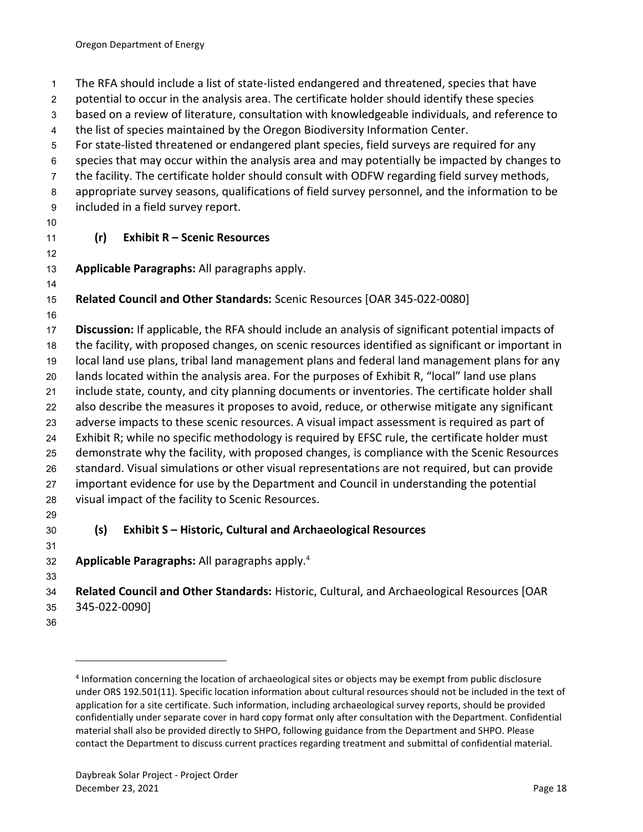The RFA should include a list of state-listed endangered and threatened, species that have

potential to occur in the analysis area. The certificate holder should identify these species

based on a review of literature, consultation with knowledgeable individuals, and reference to

the list of species maintained by the Oregon Biodiversity Information Center.

For state-listed threatened or endangered plant species, field surveys are required for any

species that may occur within the analysis area and may potentially be impacted by changes to

the facility. The certificate holder should consult with ODFW regarding field survey methods,

appropriate survey seasons, qualifications of field survey personnel, and the information to be

- included in a field survey report.
- 

# <span id="page-20-0"></span>**(r) Exhibit R – Scenic Resources**

**Applicable Paragraphs:** All paragraphs apply.

# **Related Council and Other Standards:** Scenic Resources [OAR 345-022-0080]

 **Discussion:** If applicable, the RFA should include an analysis of significant potential impacts of the facility, with proposed changes, on scenic resources identified as significant or important in local land use plans, tribal land management plans and federal land management plans for any lands located within the analysis area. For the purposes of Exhibit R, "local" land use plans include state, county, and city planning documents or inventories. The certificate holder shall also describe the measures it proposes to avoid, reduce, or otherwise mitigate any significant adverse impacts to these scenic resources. A visual impact assessment is required as part of Exhibit R; while no specific methodology is required by EFSC rule, the certificate holder must demonstrate why the facility, with proposed changes, is compliance with the Scenic Resources standard. Visual simulations or other visual representations are not required, but can provide important evidence for use by the Department and Council in understanding the potential visual impact of the facility to Scenic Resources.

# <span id="page-20-1"></span>**(s) Exhibit S – Historic, Cultural and Archaeological Resources**

 **Applicable Paragraphs:** All paragraphs apply.<sup>4</sup> 

 **Related Council and Other Standards:** Historic, Cultural, and Archaeological Resources [OAR 345-022-0090]

<sup>&</sup>lt;sup>4</sup> Information concerning the location of archaeological sites or objects may be exempt from public disclosure under ORS 192.501(11). Specific location information about cultural resources should not be included in the text of application for a site certificate. Such information, including archaeological survey reports, should be provided confidentially under separate cover in hard copy format only after consultation with the Department. Confidential material shall also be provided directly to SHPO, following guidance from the Department and SHPO. Please contact the Department to discuss current practices regarding treatment and submittal of confidential material.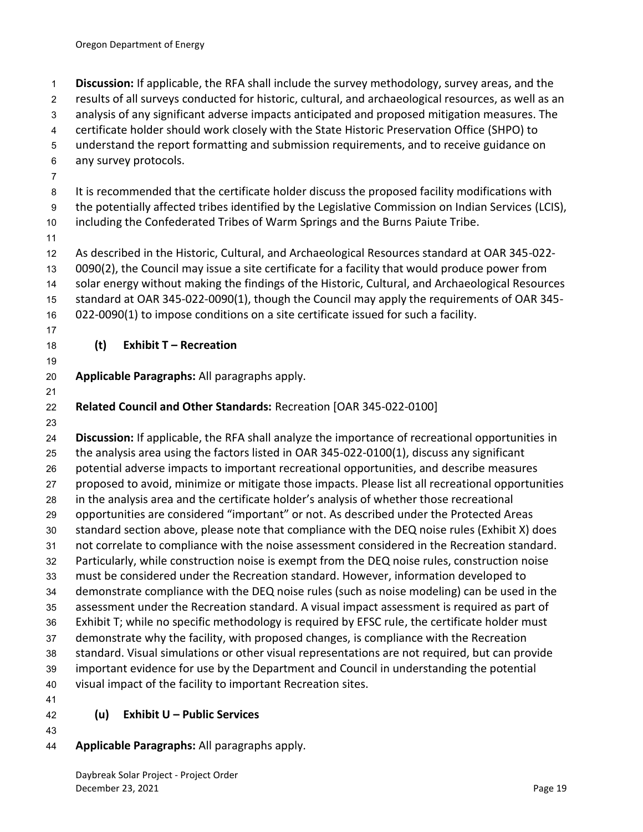<span id="page-21-0"></span> **Discussion:** If applicable, the RFA shall include the survey methodology, survey areas, and the results of all surveys conducted for historic, cultural, and archaeological resources, as well as an analysis of any significant adverse impacts anticipated and proposed mitigation measures. The certificate holder should work closely with the State Historic Preservation Office (SHPO) to understand the report formatting and submission requirements, and to receive guidance on any survey protocols. It is recommended that the certificate holder discuss the proposed facility modifications with the potentially affected tribes identified by the Legislative Commission on Indian Services (LCIS), including the Confederated Tribes of Warm Springs and the Burns Paiute Tribe. As described in the Historic, Cultural, and Archaeological Resources standard at OAR 345-022- 0090(2), the Council may issue a site certificate for a facility that would produce power from solar energy without making the findings of the Historic, Cultural, and Archaeological Resources standard at OAR 345-022-0090(1), though the Council may apply the requirements of OAR 345- 022-0090(1) to impose conditions on a site certificate issued for such a facility. **(t) Exhibit T – Recreation Applicable Paragraphs:** All paragraphs apply. **Related Council and Other Standards:** Recreation [OAR 345-022-0100] **Discussion:** If applicable, the RFA shall analyze the importance of recreational opportunities in the analysis area using the factors listed in OAR 345-022-0100(1), discuss any significant potential adverse impacts to important recreational opportunities, and describe measures proposed to avoid, minimize or mitigate those impacts. Please list all recreational opportunities in the analysis area and the certificate holder's analysis of whether those recreational opportunities are considered "important" or not. As described under the Protected Areas standard section above, please note that compliance with the DEQ noise rules (Exhibit X) does not correlate to compliance with the noise assessment considered in the Recreation standard. Particularly, while construction noise is exempt from the DEQ noise rules, construction noise must be considered under the Recreation standard. However, information developed to demonstrate compliance with the DEQ noise rules (such as noise modeling) can be used in the assessment under the Recreation standard. A visual impact assessment is required as part of Exhibit T; while no specific methodology is required by EFSC rule, the certificate holder must demonstrate why the facility, with proposed changes, is compliance with the Recreation standard. Visual simulations or other visual representations are not required, but can provide important evidence for use by the Department and Council in understanding the potential visual impact of the facility to important Recreation sites. **(u) Exhibit U – Public Services**

<span id="page-21-1"></span>

# **Applicable Paragraphs:** All paragraphs apply.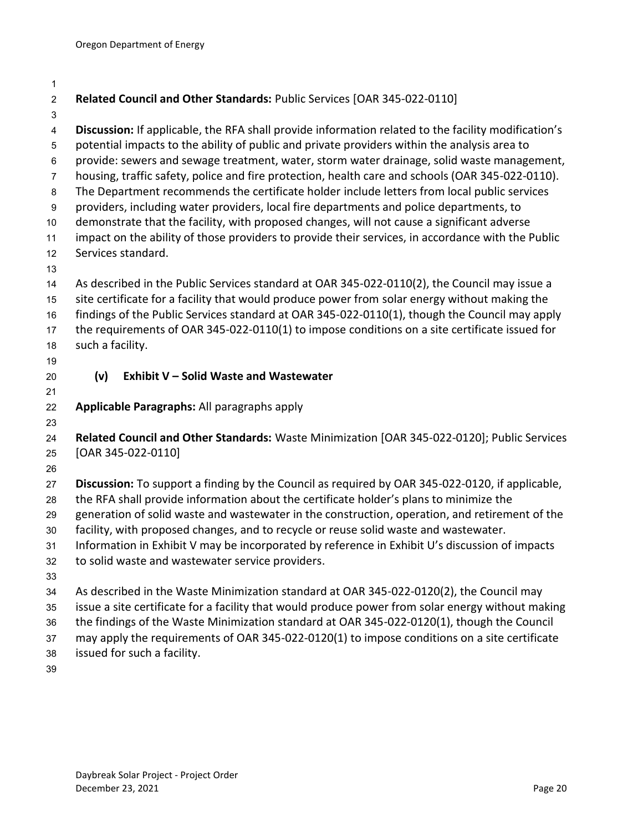<span id="page-22-0"></span>

| $\overline{c}$            | Related Council and Other Standards: Public Services [OAR 345-022-0110]                                                                                                                         |
|---------------------------|-------------------------------------------------------------------------------------------------------------------------------------------------------------------------------------------------|
| 3                         |                                                                                                                                                                                                 |
| 4                         | Discussion: If applicable, the RFA shall provide information related to the facility modification's                                                                                             |
| 5                         | potential impacts to the ability of public and private providers within the analysis area to                                                                                                    |
| 6                         | provide: sewers and sewage treatment, water, storm water drainage, solid waste management,                                                                                                      |
| $\overline{7}$<br>$\bf 8$ | housing, traffic safety, police and fire protection, health care and schools (OAR 345-022-0110).<br>The Department recommends the certificate holder include letters from local public services |
| $\boldsymbol{9}$          | providers, including water providers, local fire departments and police departments, to                                                                                                         |
| $10$                      | demonstrate that the facility, with proposed changes, will not cause a significant adverse                                                                                                      |
| 11                        | impact on the ability of those providers to provide their services, in accordance with the Public                                                                                               |
| 12                        | Services standard.                                                                                                                                                                              |
| 13                        |                                                                                                                                                                                                 |
| 14                        | As described in the Public Services standard at OAR 345-022-0110(2), the Council may issue a                                                                                                    |
| 15                        | site certificate for a facility that would produce power from solar energy without making the                                                                                                   |
| 16                        | findings of the Public Services standard at OAR 345-022-0110(1), though the Council may apply                                                                                                   |
| 17                        | the requirements of OAR 345-022-0110(1) to impose conditions on a site certificate issued for                                                                                                   |
| 18                        | such a facility.                                                                                                                                                                                |
| 19                        |                                                                                                                                                                                                 |
| 20                        | (v)<br><b>Exhibit V - Solid Waste and Wastewater</b>                                                                                                                                            |
| 21                        |                                                                                                                                                                                                 |
| 22                        | Applicable Paragraphs: All paragraphs apply                                                                                                                                                     |
| 23                        |                                                                                                                                                                                                 |
| 24                        | Related Council and Other Standards: Waste Minimization [OAR 345-022-0120]; Public Services<br>[OAR 345-022-0110]                                                                               |
| 25<br>26                  |                                                                                                                                                                                                 |
| 27                        | Discussion: To support a finding by the Council as required by OAR 345-022-0120, if applicable,                                                                                                 |
| 28                        | the RFA shall provide information about the certificate holder's plans to minimize the                                                                                                          |
| 29                        | generation of solid waste and wastewater in the construction, operation, and retirement of the                                                                                                  |
| 30                        | facility, with proposed changes, and to recycle or reuse solid waste and wastewater.                                                                                                            |
| 31                        | Information in Exhibit V may be incorporated by reference in Exhibit U's discussion of impacts                                                                                                  |
| 32                        | to solid waste and wastewater service providers.                                                                                                                                                |
| 33                        |                                                                                                                                                                                                 |
| 34                        | As described in the Waste Minimization standard at OAR 345-022-0120(2), the Council may                                                                                                         |
| 35                        | issue a site certificate for a facility that would produce power from solar energy without making                                                                                               |
| 36                        | the findings of the Waste Minimization standard at OAR 345-022-0120(1), though the Council                                                                                                      |
| 37                        | may apply the requirements of OAR 345-022-0120(1) to impose conditions on a site certificate                                                                                                    |
| 38                        | issued for such a facility.                                                                                                                                                                     |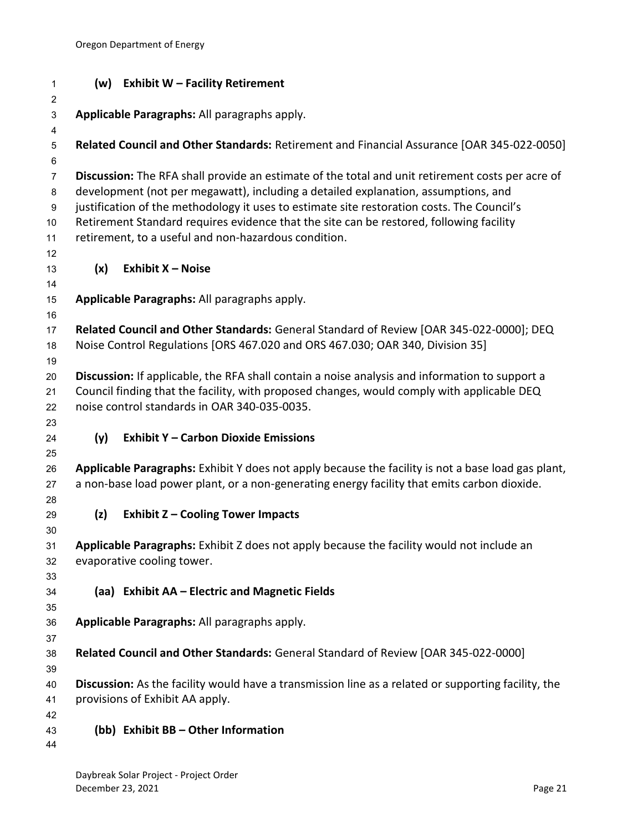<span id="page-23-5"></span><span id="page-23-4"></span><span id="page-23-3"></span><span id="page-23-2"></span><span id="page-23-1"></span><span id="page-23-0"></span>

| 1                   |     | (w) Exhibit W - Facility Retirement                                                                                                        |
|---------------------|-----|--------------------------------------------------------------------------------------------------------------------------------------------|
| $\overline{2}$<br>3 |     | Applicable Paragraphs: All paragraphs apply.                                                                                               |
| 4                   |     |                                                                                                                                            |
| 5                   |     | Related Council and Other Standards: Retirement and Financial Assurance [OAR 345-022-0050]                                                 |
| 6                   |     |                                                                                                                                            |
| $\overline{7}$      |     | Discussion: The RFA shall provide an estimate of the total and unit retirement costs per acre of                                           |
| 8                   |     | development (not per megawatt), including a detailed explanation, assumptions, and                                                         |
| 9                   |     | justification of the methodology it uses to estimate site restoration costs. The Council's                                                 |
| $10$                |     | Retirement Standard requires evidence that the site can be restored, following facility                                                    |
| 11<br>12            |     | retirement, to a useful and non-hazardous condition.                                                                                       |
| 13                  | (x) | <b>Exhibit X - Noise</b>                                                                                                                   |
| 14                  |     |                                                                                                                                            |
| 15                  |     | Applicable Paragraphs: All paragraphs apply.                                                                                               |
| 16                  |     |                                                                                                                                            |
| 17                  |     | Related Council and Other Standards: General Standard of Review [OAR 345-022-0000]; DEQ                                                    |
| 18                  |     | Noise Control Regulations [ORS 467.020 and ORS 467.030; OAR 340, Division 35]                                                              |
| 19                  |     |                                                                                                                                            |
| 20                  |     | Discussion: If applicable, the RFA shall contain a noise analysis and information to support a                                             |
| 21                  |     | Council finding that the facility, with proposed changes, would comply with applicable DEQ<br>noise control standards in OAR 340-035-0035. |
| 22<br>23            |     |                                                                                                                                            |
| 24                  | (y) | <b>Exhibit Y - Carbon Dioxide Emissions</b>                                                                                                |
| 25                  |     |                                                                                                                                            |
| 26                  |     | Applicable Paragraphs: Exhibit Y does not apply because the facility is not a base load gas plant,                                         |
| 27                  |     | a non-base load power plant, or a non-generating energy facility that emits carbon dioxide.                                                |
| 28                  |     |                                                                                                                                            |
| 29                  | (z) | <b>Exhibit Z - Cooling Tower Impacts</b>                                                                                                   |
| 30                  |     |                                                                                                                                            |
| 31                  |     | Applicable Paragraphs: Exhibit Z does not apply because the facility would not include an                                                  |
| 32<br>33            |     | evaporative cooling tower.                                                                                                                 |
| 34                  |     | (aa) Exhibit AA - Electric and Magnetic Fields                                                                                             |
| 35                  |     |                                                                                                                                            |
| 36                  |     | Applicable Paragraphs: All paragraphs apply.                                                                                               |
| 37                  |     |                                                                                                                                            |
| 38                  |     | Related Council and Other Standards: General Standard of Review [OAR 345-022-0000]                                                         |
| 39                  |     |                                                                                                                                            |
| 40                  |     | Discussion: As the facility would have a transmission line as a related or supporting facility, the                                        |
| 41                  |     | provisions of Exhibit AA apply.                                                                                                            |
| 42                  |     |                                                                                                                                            |
| 43<br>44            |     | (bb) Exhibit BB - Other Information                                                                                                        |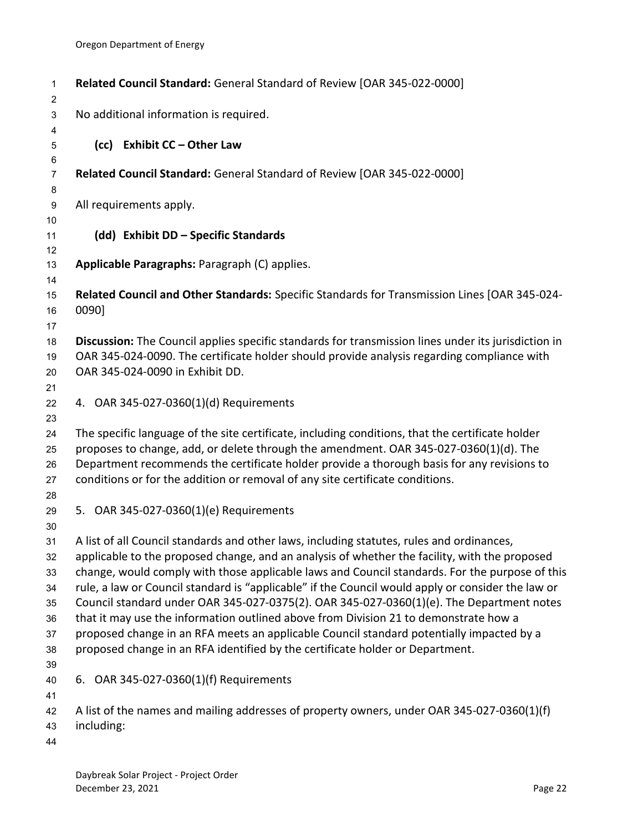<span id="page-24-4"></span><span id="page-24-3"></span><span id="page-24-2"></span><span id="page-24-1"></span><span id="page-24-0"></span>

| 1<br>$\overline{c}$                                      | Related Council Standard: General Standard of Review [OAR 345-022-0000]                                                                                                                                                                                                                                                                                                                                                                                                                                                                                                                                                                                                                                                                                            |
|----------------------------------------------------------|--------------------------------------------------------------------------------------------------------------------------------------------------------------------------------------------------------------------------------------------------------------------------------------------------------------------------------------------------------------------------------------------------------------------------------------------------------------------------------------------------------------------------------------------------------------------------------------------------------------------------------------------------------------------------------------------------------------------------------------------------------------------|
| $\ensuremath{\mathsf{3}}$                                | No additional information is required.                                                                                                                                                                                                                                                                                                                                                                                                                                                                                                                                                                                                                                                                                                                             |
| 4<br>5                                                   | (cc) Exhibit CC - Other Law                                                                                                                                                                                                                                                                                                                                                                                                                                                                                                                                                                                                                                                                                                                                        |
| 6<br>$\overline{7}$<br>8                                 | Related Council Standard: General Standard of Review [OAR 345-022-0000]                                                                                                                                                                                                                                                                                                                                                                                                                                                                                                                                                                                                                                                                                            |
| $\boldsymbol{9}$                                         | All requirements apply.                                                                                                                                                                                                                                                                                                                                                                                                                                                                                                                                                                                                                                                                                                                                            |
| 10<br>11<br>12                                           | (dd) Exhibit DD - Specific Standards                                                                                                                                                                                                                                                                                                                                                                                                                                                                                                                                                                                                                                                                                                                               |
| 13<br>14                                                 | Applicable Paragraphs: Paragraph (C) applies.                                                                                                                                                                                                                                                                                                                                                                                                                                                                                                                                                                                                                                                                                                                      |
| 15<br>16<br>17                                           | Related Council and Other Standards: Specific Standards for Transmission Lines [OAR 345-024-<br>0090]                                                                                                                                                                                                                                                                                                                                                                                                                                                                                                                                                                                                                                                              |
| 18<br>19<br>20                                           | Discussion: The Council applies specific standards for transmission lines under its jurisdiction in<br>OAR 345-024-0090. The certificate holder should provide analysis regarding compliance with<br>OAR 345-024-0090 in Exhibit DD.                                                                                                                                                                                                                                                                                                                                                                                                                                                                                                                               |
| 21<br>22<br>23                                           | 4. OAR 345-027-0360(1)(d) Requirements                                                                                                                                                                                                                                                                                                                                                                                                                                                                                                                                                                                                                                                                                                                             |
| 24<br>25<br>26<br>27                                     | The specific language of the site certificate, including conditions, that the certificate holder<br>proposes to change, add, or delete through the amendment. OAR 345-027-0360(1)(d). The<br>Department recommends the certificate holder provide a thorough basis for any revisions to<br>conditions or for the addition or removal of any site certificate conditions.                                                                                                                                                                                                                                                                                                                                                                                           |
| 28<br>29                                                 | 5. OAR 345-027-0360(1)(e) Requirements                                                                                                                                                                                                                                                                                                                                                                                                                                                                                                                                                                                                                                                                                                                             |
| 30<br>31<br>32<br>33<br>34<br>35<br>36<br>37<br>38<br>39 | A list of all Council standards and other laws, including statutes, rules and ordinances,<br>applicable to the proposed change, and an analysis of whether the facility, with the proposed<br>change, would comply with those applicable laws and Council standards. For the purpose of this<br>rule, a law or Council standard is "applicable" if the Council would apply or consider the law or<br>Council standard under OAR 345-027-0375(2). OAR 345-027-0360(1)(e). The Department notes<br>that it may use the information outlined above from Division 21 to demonstrate how a<br>proposed change in an RFA meets an applicable Council standard potentially impacted by a<br>proposed change in an RFA identified by the certificate holder or Department. |
| 40<br>41                                                 | 6. OAR 345-027-0360(1)(f) Requirements                                                                                                                                                                                                                                                                                                                                                                                                                                                                                                                                                                                                                                                                                                                             |
| 42<br>43<br>44                                           | A list of the names and mailing addresses of property owners, under OAR 345-027-0360(1)(f)<br>including:                                                                                                                                                                                                                                                                                                                                                                                                                                                                                                                                                                                                                                                           |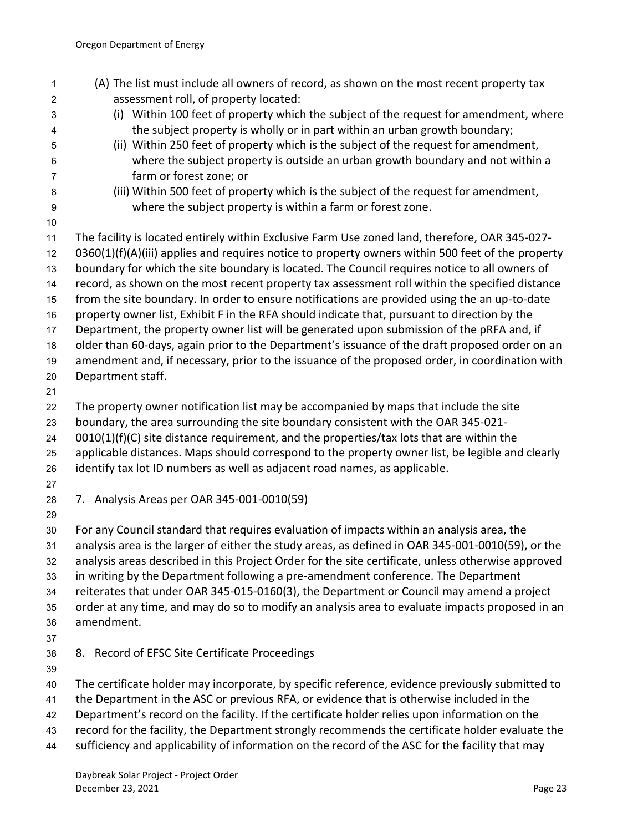<span id="page-25-1"></span><span id="page-25-0"></span>

| 1  | (A) The list must include all owners of record, as shown on the most recent property tax           |
|----|----------------------------------------------------------------------------------------------------|
| 2  | assessment roll, of property located:                                                              |
| 3  | (i) Within 100 feet of property which the subject of the request for amendment, where              |
| 4  | the subject property is wholly or in part within an urban growth boundary;                         |
| 5  | (ii) Within 250 feet of property which is the subject of the request for amendment,                |
| 6  | where the subject property is outside an urban growth boundary and not within a                    |
| 7  | farm or forest zone; or                                                                            |
| 8  | (iii) Within 500 feet of property which is the subject of the request for amendment,               |
| 9  | where the subject property is within a farm or forest zone.                                        |
| 10 |                                                                                                    |
| 11 | The facility is located entirely within Exclusive Farm Use zoned land, therefore, OAR 345-027-     |
| 12 | 0360(1)(f)(A)(iii) applies and requires notice to property owners within 500 feet of the property  |
| 13 | boundary for which the site boundary is located. The Council requires notice to all owners of      |
| 14 | record, as shown on the most recent property tax assessment roll within the specified distance     |
| 15 | from the site boundary. In order to ensure notifications are provided using the an up-to-date      |
| 16 | property owner list, Exhibit F in the RFA should indicate that, pursuant to direction by the       |
| 17 | Department, the property owner list will be generated upon submission of the pRFA and, if          |
| 18 | older than 60-days, again prior to the Department's issuance of the draft proposed order on an     |
| 19 | amendment and, if necessary, prior to the issuance of the proposed order, in coordination with     |
| 20 | Department staff.                                                                                  |
| 21 |                                                                                                    |
| 22 | The property owner notification list may be accompanied by maps that include the site              |
| 23 | boundary, the area surrounding the site boundary consistent with the OAR 345-021-                  |
| 24 | $0010(1)(f)(C)$ site distance requirement, and the properties/tax lots that are within the         |
| 25 | applicable distances. Maps should correspond to the property owner list, be legible and clearly    |
| 26 | identify tax lot ID numbers as well as adjacent road names, as applicable.                         |
| 27 |                                                                                                    |
| 28 | 7. Analysis Areas per OAR 345-001-0010(59)                                                         |
| 29 |                                                                                                    |
| 30 | For any Council standard that requires evaluation of impacts within an analysis area, the          |
| 31 | analysis area is the larger of either the study areas, as defined in OAR 345-001-0010(59), or the  |
| 32 | analysis areas described in this Project Order for the site certificate, unless otherwise approved |
| 33 | in writing by the Department following a pre-amendment conference. The Department                  |
| 34 | reiterates that under OAR 345-015-0160(3), the Department or Council may amend a project           |
| 35 | order at any time, and may do so to modify an analysis area to evaluate impacts proposed in an     |
| 36 | amendment.                                                                                         |
| 37 |                                                                                                    |
| 38 | 8. Record of EFSC Site Certificate Proceedings                                                     |
| 39 |                                                                                                    |
| 40 | The certificate holder may incorporate, by specific reference, evidence previously submitted to    |
| 41 | the Department in the ASC or previous RFA, or evidence that is otherwise included in the           |
| 42 | Department's record on the facility. If the certificate holder relies upon information on the      |
| 43 | record for the facility, the Department strongly recommends the certificate holder evaluate the    |
| 44 | sufficiency and applicability of information on the record of the ASC for the facility that may    |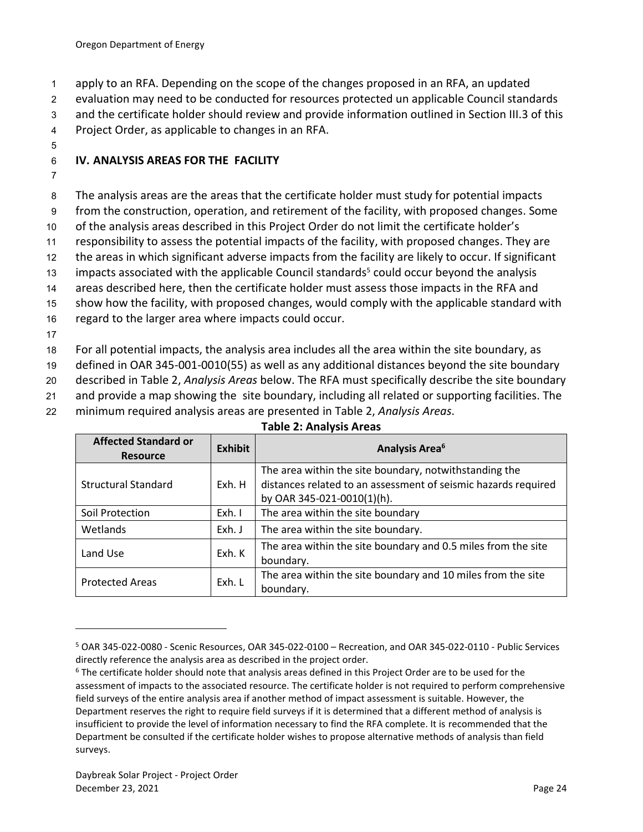1 apply to an RFA. Depending on the scope of the changes proposed in an RFA, an updated

2 evaluation may need to be conducted for resources protected un applicable Council standards

3 and the certificate holder should review and provide information outlined in Section III.3 of this

4 Project Order, as applicable to changes in an RFA.

5

# <span id="page-26-0"></span>6 **IV. ANALYSIS AREAS FOR THE FACILITY**

7

8 The analysis areas are the areas that the certificate holder must study for potential impacts

9 from the construction, operation, and retirement of the facility, with proposed changes. Some

10 of the analysis areas described in this Project Order do not limit the certificate holder's

11 responsibility to assess the potential impacts of the facility, with proposed changes. They are

12 the areas in which significant adverse impacts from the facility are likely to occur. If significant

13 impacts associated with the applicable Council standards<sup>5</sup> could occur beyond the analysis

14 areas described here, then the certificate holder must assess those impacts in the RFA and

15 show how the facility, with proposed changes, would comply with the applicable standard with

16 regard to the larger area where impacts could occur.

17

18 For all potential impacts, the analysis area includes all the area within the site boundary, as

19 defined in OAR 345-001-0010(55) as well as any additional distances beyond the site boundary

20 described in Table 2, *Analysis Areas* below. The RFA must specifically describe the site boundary

21 and provide a map showing the site boundary, including all related or supporting facilities. The

22 minimum required analysis areas are presented in Table 2, *Analysis Areas*.

#### <span id="page-26-1"></span>**Affected Standard or Resource Analysis Area<sup>6</sup> Resource Analysis Area<sup>6</sup> Analysis Area<sup>6</sup>** Structural Standard | Exh. H The area within the site boundary, notwithstanding the distances related to an assessment of seismic hazards required by OAR 345-021-0010(1)(h). Soil Protection  $\vert$  Exh.  $\vert$  The area within the site boundary Wetlands  $\begin{array}{c|c} \hline \end{array}$  Exh. J The area within the site boundary. Land Use Exh. K The area within the site boundary and 0.5 miles from the site boundary. Protected Areas  $\begin{bmatrix} \n\end{bmatrix}$  Exh. L  $\begin{bmatrix} \n\end{bmatrix}$  The area within the site boundary and 10 miles from the site boundary.

## **Table 2: Analysis Areas**

<sup>5</sup> OAR 345-022-0080 - Scenic Resources, OAR 345-022-0100 – Recreation, and OAR 345-022-0110 - Public Services directly reference the analysis area as described in the project order.

<sup>6</sup> The certificate holder should note that analysis areas defined in this Project Order are to be used for the assessment of impacts to the associated resource. The certificate holder is not required to perform comprehensive field surveys of the entire analysis area if another method of impact assessment is suitable. However, the Department reserves the right to require field surveys if it is determined that a different method of analysis is insufficient to provide the level of information necessary to find the RFA complete. It is recommended that the Department be consulted if the certificate holder wishes to propose alternative methods of analysis than field surveys.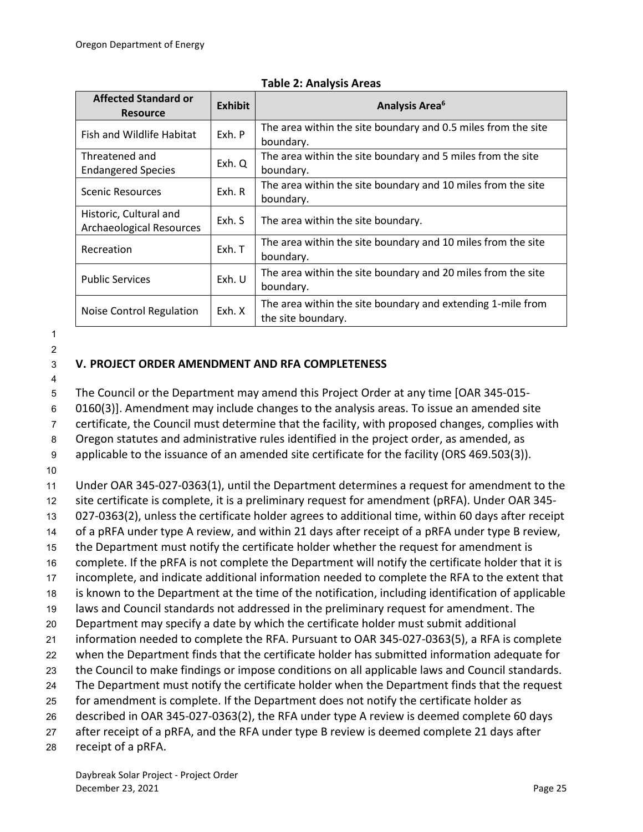| <b>Affected Standard or</b><br><b>Resource</b>            | <b>Exhibit</b> | <b>Analysis Area<sup>6</sup></b>                                                  |
|-----------------------------------------------------------|----------------|-----------------------------------------------------------------------------------|
| Fish and Wildlife Habitat                                 | Exh. P         | The area within the site boundary and 0.5 miles from the site<br>boundary.        |
| Threatened and<br><b>Endangered Species</b>               | Exh. Q         | The area within the site boundary and 5 miles from the site<br>boundary.          |
| Scenic Resources                                          | Exh. R         | The area within the site boundary and 10 miles from the site<br>boundary.         |
| Historic, Cultural and<br><b>Archaeological Resources</b> | Exh. S         | The area within the site boundary.                                                |
| Recreation                                                | Exh. T         | The area within the site boundary and 10 miles from the site<br>boundary.         |
| <b>Public Services</b>                                    | Exh. U         | The area within the site boundary and 20 miles from the site<br>boundary.         |
| Noise Control Regulation                                  | Exh. X         | The area within the site boundary and extending 1-mile from<br>the site boundary. |

#### **Table 2: Analysis Areas**

1

## 2

# <span id="page-27-0"></span>3 **V. PROJECT ORDER AMENDMENT AND RFA COMPLETENESS**

4

5 The Council or the Department may amend this Project Order at any time [OAR 345-015-

6 0160(3)]. Amendment may include changes to the analysis areas. To issue an amended site

7 certificate, the Council must determine that the facility, with proposed changes, complies with

8 Oregon statutes and administrative rules identified in the project order, as amended, as

9 applicable to the issuance of an amended site certificate for the facility (ORS 469.503(3)).

10

11 Under OAR 345-027-0363(1), until the Department determines a request for amendment to the

12 site certificate is complete, it is a preliminary request for amendment (pRFA). Under OAR 345-

13 027-0363(2), unless the certificate holder agrees to additional time, within 60 days after receipt

14 of a pRFA under type A review, and within 21 days after receipt of a pRFA under type B review,

15 the Department must notify the certificate holder whether the request for amendment is

16 complete. If the pRFA is not complete the Department will notify the certificate holder that it is

17 incomplete, and indicate additional information needed to complete the RFA to the extent that 18 is known to the Department at the time of the notification, including identification of applicable

19 laws and Council standards not addressed in the preliminary request for amendment. The

20 Department may specify a date by which the certificate holder must submit additional

21 information needed to complete the RFA. Pursuant to OAR 345-027-0363(5), a RFA is complete

22 when the Department finds that the certificate holder has submitted information adequate for

23 the Council to make findings or impose conditions on all applicable laws and Council standards.

24 The Department must notify the certificate holder when the Department finds that the request

25 for amendment is complete. If the Department does not notify the certificate holder as

26 described in OAR 345-027-0363(2), the RFA under type A review is deemed complete 60 days

27 after receipt of a pRFA, and the RFA under type B review is deemed complete 21 days after

28 receipt of a pRFA.